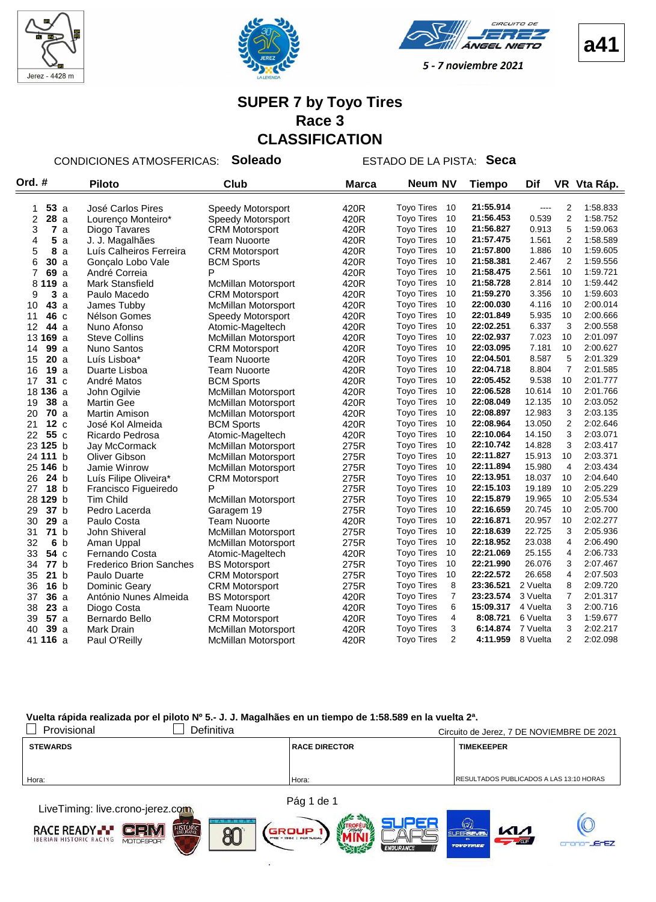



VEEL  $\sim$ 



5 - 7 noviembre 2021

# **SUPER 7 by Toyo Tires Race 3 CLASSIFICATION**

CONDICIONES ATMOSFERICAS: **Soleado** ESTADO DE LA PISTA: **Seca**

| Ord. #                | <b>Piloto</b>                  | <b>Club</b>                | <b>Marca</b> | <b>Neum NV</b>                      | <b>Tiempo</b> | Dif      |                | VR Vta Ráp. |
|-----------------------|--------------------------------|----------------------------|--------------|-------------------------------------|---------------|----------|----------------|-------------|
|                       |                                |                            |              |                                     |               |          |                |             |
| 53a<br>1              | José Carlos Pires              | Speedy Motorsport          | 420R         | <b>Tovo Tires</b><br>10             | 21:55.914     | ----     | 2              | 1:58.833    |
| $\overline{2}$<br>28a | Lourenco Monteiro*             | Speedy Motorsport          | 420R         | <b>Toyo Tires</b><br>10             | 21:56.453     | 0.539    | 2              | 1:58.752    |
| 3<br>7a               | Diogo Tavares                  | <b>CRM Motorsport</b>      | 420R         | <b>Toyo Tires</b><br>10             | 21:56.827     | 0.913    | 5              | 1:59.063    |
| 5<br>4<br>a           | J. J. Magalhães                | Team Nuoorte               | 420R         | <b>Toyo Tires</b><br>10             | 21:57.475     | 1.561    | $\overline{2}$ | 1:58.589    |
| 5<br>8<br>a           | Luís Calheiros Ferreira        | <b>CRM Motorsport</b>      | 420R         | 10<br><b>Toyo Tires</b>             | 21:57.800     | 1.886    | 10             | 1:59.605    |
| 6<br>30a              | Gonçalo Lobo Vale              | <b>BCM Sports</b>          | 420R         | <b>Toyo Tires</b><br>10             | 21:58.381     | 2.467    | 2              | 1:59.556    |
| 7<br>69 a             | André Correia                  | P                          | 420R         | 10<br><b>Toyo Tires</b>             | 21:58.475     | 2.561    | 10             | 1:59.721    |
| 8<br>119a             | <b>Mark Stansfield</b>         | <b>McMillan Motorsport</b> | 420R         | 10<br><b>Toyo Tires</b>             | 21:58.728     | 2.814    | 10             | 1:59.442    |
| 3a<br>9               | Paulo Macedo                   | <b>CRM Motorsport</b>      | 420R         | 10<br><b>Toyo Tires</b>             | 21:59.270     | 3.356    | 10             | 1:59.603    |
| 43 a<br>10            | James Tubby                    | <b>McMillan Motorsport</b> | 420R         | 10<br><b>Toyo Tires</b>             | 22:00.030     | 4.116    | 10             | 2:00.014    |
| 11<br>46 с            | Nélson Gomes                   | Speedy Motorsport          | 420R         | 10<br><b>Toyo Tires</b>             | 22:01.849     | 5.935    | 10             | 2:00.666    |
| 12<br>44 a            | Nuno Afonso                    | Atomic-Mageltech           | 420R         | 10<br><b>Toyo Tires</b>             | 22:02.251     | 6.337    | 3              | 2:00.558    |
| 13 169 a              | <b>Steve Collins</b>           | <b>McMillan Motorsport</b> | 420R         | <b>Toyo Tires</b><br>10             | 22:02.937     | 7.023    | 10             | 2:01.097    |
| 99a<br>14             | <b>Nuno Santos</b>             | <b>CRM Motorsport</b>      | 420R         | <b>Toyo Tires</b><br>10             | 22:03.095     | 7.181    | 10             | 2:00.627    |
| 20a<br>15             | Luís Lisboa*                   | <b>Team Nuoorte</b>        | 420R         | 10<br><b>Toyo Tires</b>             | 22:04.501     | 8.587    | 5              | 2:01.329    |
| 19a<br>16             | Duarte Lisboa                  | <b>Team Nuoorte</b>        | 420R         | 10<br><b>Toyo Tires</b>             | 22:04.718     | 8.804    | $\overline{7}$ | 2:01.585    |
| 31 c<br>17            | André Matos                    | <b>BCM Sports</b>          | 420R         | <b>Toyo Tires</b><br>10             | 22:05.452     | 9.538    | 10             | 2:01.777    |
| 18 <b>136</b> a       | John Ogilvie                   | <b>McMillan Motorsport</b> | 420R         | 10<br><b>Toyo Tires</b>             | 22:06.528     | 10.614   | 10             | 2:01.766    |
| 38a<br>19             | <b>Martin Gee</b>              | <b>McMillan Motorsport</b> | 420R         | 10<br><b>Toyo Tires</b>             | 22:08.049     | 12.135   | 10             | 2:03.052    |
| 70a<br>20             | Martin Amison                  | <b>McMillan Motorsport</b> | 420R         | <b>Toyo Tires</b><br>10             | 22:08.897     | 12.983   | 3              | 2:03.135    |
| 12c<br>21             | José Kol Almeida               | <b>BCM Sports</b>          | 420R         | 10<br><b>Toyo Tires</b>             | 22:08.964     | 13.050   | $\overline{2}$ | 2:02.646    |
| 55c<br>22             | Ricardo Pedrosa                | Atomic-Mageltech           | 420R         | 10<br><b>Toyo Tires</b>             | 22:10.064     | 14.150   | 3              | 2:03.071    |
| 23 125 b              | Jay McCormack                  | McMillan Motorsport        | 275R         | 10<br><b>Toyo Tires</b>             | 22:10.742     | 14.828   | 3              | 2:03.417    |
| 24 111 b              | Oliver Gibson                  | <b>McMillan Motorsport</b> | 275R         | <b>Toyo Tires</b><br>10             | 22:11.827     | 15.913   | 10             | 2:03.371    |
| 25 146 b              | Jamie Winrow                   | <b>McMillan Motorsport</b> | 275R         | 10<br><b>Toyo Tires</b>             | 22:11.894     | 15.980   | $\overline{4}$ | 2:03.434    |
| 26<br>24 <sub>b</sub> | Luís Filipe Oliveira*          | <b>CRM Motorsport</b>      | 275R         | 10<br><b>Toyo Tires</b>             | 22:13.951     | 18.037   | 10             | 2:04.640    |
| 27<br>18 <sub>b</sub> | Francisco Figueiredo           | P                          | 275R         | <b>Toyo Tires</b><br>10             | 22:15.103     | 19.189   | 10             | 2:05.229    |
| 28 129 b              | <b>Tim Child</b>               | McMillan Motorsport        | 275R         | <b>Toyo Tires</b><br>10             | 22:15.879     | 19.965   | 10             | 2:05.534    |
| 37 b<br>29            | Pedro Lacerda                  | Garagem 19                 | 275R         | 10<br><b>Toyo Tires</b>             | 22:16.659     | 20.745   | 10             | 2:05.700    |
| 29a<br>30             | Paulo Costa                    | <b>Team Nuoorte</b>        | 420R         | 10<br><b>Toyo Tires</b>             | 22:16.871     | 20.957   | 10             | 2:02.277    |
| 71 b<br>31            | John Shiveral                  | <b>McMillan Motorsport</b> | 275R         | <b>Toyo Tires</b><br>10             | 22:18.639     | 22.725   | 3              | 2:05.936    |
| 6 <sub>b</sub><br>32  | Aman Uppal                     | <b>McMillan Motorsport</b> | 275R         | <b>Toyo Tires</b><br>10             | 22:18.952     | 23.038   | 4              | 2:06.490    |
| 33<br>54 c            | Fernando Costa                 | Atomic-Mageltech           | 420R         | 10<br><b>Toyo Tires</b>             | 22:21.069     | 25.155   | 4              | 2:06.733    |
| 34<br>77 b            | <b>Frederico Brion Sanches</b> | <b>BS Motorsport</b>       | 275R         | 10<br><b>Toyo Tires</b>             | 22:21.990     | 26.076   | 3              | 2:07.467    |
| 35<br>21 b            | Paulo Duarte                   | <b>CRM Motorsport</b>      | 275R         | <b>Toyo Tires</b><br>10             | 22:22.572     | 26.658   | 4              | 2:07.503    |
| 36<br>16 <sub>b</sub> | Dominic Geary                  | <b>CRM Motorsport</b>      | 275R         | 8<br><b>Toyo Tires</b>              | 23:36.521     | 2 Vuelta | 8              | 2:09.720    |
| 36a<br>37             | António Nunes Almeida          | <b>BS Motorsport</b>       | 420R         | $\overline{7}$<br><b>Toyo Tires</b> | 23:23.574     | 3 Vuelta | $\overline{7}$ | 2:01.317    |
| 23a<br>38             | Diogo Costa                    | <b>Team Nuoorte</b>        | 420R         | 6<br><b>Toyo Tires</b>              | 15:09.317     | 4 Vuelta | 3              | 2:00.716    |
| 57a<br>39             | Bernardo Bello                 | <b>CRM Motorsport</b>      | 420R         | 4<br><b>Toyo Tires</b>              | 8:08.721      | 6 Vuelta | 3              | 1:59.677    |
| 39a<br>40             | <b>Mark Drain</b>              | <b>McMillan Motorsport</b> | 420R         | 3<br><b>Toyo Tires</b>              | 6:14.874      | 7 Vuelta | 3              | 2:02.217    |
| 41 116 a              | Paul O'Reilly                  | <b>McMillan Motorsport</b> | 420R         | $\overline{2}$<br><b>Toyo Tires</b> | 4:11.959      | 8 Vuelta | $\overline{2}$ | 2:02.098    |
|                       |                                |                            |              |                                     |               |          |                |             |

| Provisional<br>Definitiva        |                      | Circuito de Jerez, 7 DE NOVIEMBRE DE 2021 |
|----------------------------------|----------------------|-------------------------------------------|
| <b>STEWARDS</b>                  | <b>RACE DIRECTOR</b> | <b>TIMEKEEPER</b>                         |
|                                  |                      |                                           |
| Hora:                            | Hora:                | RESULTADOS PUBLICADOS A LAS 13:10 HORAS   |
| LiveTimina: live.crono-ierez.com | Pág 1 de 1           |                                           |

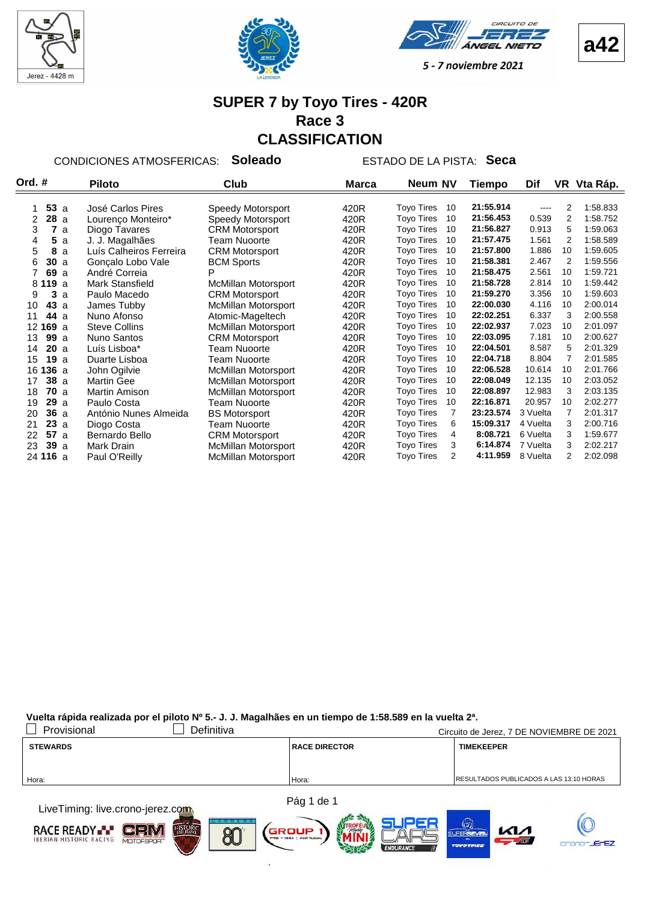







#### **SUPER 7 by Toyo Tires - 420R Race 3 CLASSIFICATION**

CONDICIONES ATMOSFERICAS: **Soleado** ESTADO DE LA PISTA: **Seca**

| Ord. #          | <b>Piloto</b><br>Club   |                            | <b>Marca</b> | Neum NV                             | Tiempo    | Dif      |                | VR Vta Ráp. |
|-----------------|-------------------------|----------------------------|--------------|-------------------------------------|-----------|----------|----------------|-------------|
|                 |                         |                            |              |                                     |           |          |                |             |
| 53a             | José Carlos Pires       | Speedy Motorsport          | 420R         | <b>Toyo Tires</b><br>10             | 21:55.914 | ----     | 2              | 1.58.833    |
| 28a<br>2        | Lourenço Monteiro*      | Speedy Motorsport          | 420R         | <b>Toyo Tires</b><br>10             | 21:56.453 | 0.539    | 2              | 1:58.752    |
| 7<br>3<br>a     | Diogo Tavares           | <b>CRM Motorsport</b>      | 420R         | <b>Toyo Tires</b><br>10             | 21:56.827 | 0.913    | 5              | 1:59.063    |
| 5a<br>4         | J. J. Magalhães         | <b>Team Nuoorte</b>        | 420R         | <b>Toyo Tires</b><br>10             | 21:57.475 | 1.561    | 2              | 1:58.589    |
| 5<br>8<br>a     | Luís Calheiros Ferreira | <b>CRM Motorsport</b>      | 420R         | <b>Toyo Tires</b><br>10             | 21:57.800 | 1.886    | 10             | 1:59.605    |
| 30a<br>6        | Goncalo Lobo Vale       | <b>BCM Sports</b>          | 420R         | <b>Toyo Tires</b><br>10             | 21:58.381 | 2.467    | 2              | 1:59.556    |
| 69 a            | André Correia           |                            | 420R         | <b>Toyo Tires</b><br>10             | 21:58.475 | 2.561    | 10             | 1:59.721    |
| 19a<br>81       | Mark Stansfield         | <b>McMillan Motorsport</b> | 420R         | <b>Toyo Tires</b><br>10             | 21:58.728 | 2.814    | 10             | 1:59.442    |
| 9<br>3<br>a     | Paulo Macedo            | <b>CRM Motorsport</b>      | 420R         | <b>Toyo Tires</b><br>10             | 21:59.270 | 3.356    | 10             | 1:59.603    |
| 10<br>43a       | James Tubby             | <b>McMillan Motorsport</b> | 420R         | <b>Toyo Tires</b><br>10             | 22:00.030 | 4.116    | 10             | 2:00.014    |
| 44 a<br>11      | Nuno Afonso             | Atomic-Mageltech           | 420R         | <b>Toyo Tires</b><br>10             | 22:02.251 | 6.337    | 3              | 2:00.558    |
| 12 169 a        | <b>Steve Collins</b>    | <b>McMillan Motorsport</b> | 420R         | <b>Toyo Tires</b><br>10             | 22:02.937 | 7.023    | 10             | 2:01.097    |
| 99a<br>13       | <b>Nuno Santos</b>      | <b>CRM Motorsport</b>      | 420R         | <b>Toyo Tires</b><br>10             | 22:03.095 | 7.181    | 10             | 2:00.627    |
| 20a<br>14       | Luís Lisboa*            | Team Nuoorte               | 420R         | <b>Toyo Tires</b><br>10             | 22:04.501 | 8.587    | 5              | 2:01.329    |
| 19a<br>15       | Duarte Lisboa           | Team Nuoorte               | 420R         | <b>Toyo Tires</b><br>10             | 22:04.718 | 8.804    | 7              | 2:01.585    |
| 16 136 a        | John Ogilvie            | <b>McMillan Motorsport</b> | 420R         | <b>Toyo Tires</b><br>10             | 22:06.528 | 10.614   | 10             | 2:01.766    |
| 38a<br>17       | <b>Martin Gee</b>       | <b>McMillan Motorsport</b> | 420R         | <b>Toyo Tires</b><br>10             | 22:08.049 | 12.135   | 10             | 2:03.052    |
| 70a<br>18       | <b>Martin Amison</b>    | <b>McMillan Motorsport</b> | 420R         | <b>Toyo Tires</b><br>10             | 22:08.897 | 12.983   | 3              | 2:03.135    |
| 29a<br>19       | Paulo Costa             | Team Nuoorte               | 420R         | <b>Toyo Tires</b><br>10             | 22:16.871 | 20.957   | 10             | 2:02.277    |
| 36a<br>20       | António Nunes Almeida   | <b>BS Motorsport</b>       | 420R         | <b>Toyo Tires</b><br>$\overline{7}$ | 23:23.574 | 3 Vuelta | $\overline{7}$ | 2:01.317    |
| 23a<br>21       | Diogo Costa             | <b>Team Nuoorte</b>        | 420R         | <b>Toyo Tires</b><br>6              | 15:09.317 | 4 Vuelta | 3              | 2:00.716    |
| 57a<br>22       | Bernardo Bello          | <b>CRM Motorsport</b>      | 420R         | <b>Toyo Tires</b><br>4              | 8:08.721  | 6 Vuelta | 3              | 1.59.677    |
| 39a<br>23       | Mark Drain              | <b>McMillan Motorsport</b> | 420R         | <b>Toyo Tires</b><br>3              | 6:14.874  | 7 Vuelta | 3              | 2:02.217    |
| 24 <b>116</b> a | Paul O'Reilly           | McMillan Motorsport        | 420R         | <b>Toyo Tires</b><br>2              | 4:11.959  | 8 Vuelta | 2              | 2:02.098    |

| Provisional     | Definitiva |                      | Circuito de Jerez, 7 DE NOVIEMBRE DE 2021 |
|-----------------|------------|----------------------|-------------------------------------------|
| <b>STEWARDS</b> |            | <b>RACE DIRECTOR</b> | <b>TIMEKEEPER</b>                         |
|                 |            |                      |                                           |
|                 |            |                      |                                           |
| Hora:           |            | Hora:                | RESULTADOS PUBLICADOS A LAS 13:10 HORAS   |
|                 |            |                      |                                           |
|                 |            | $\sum_{i=1}^{n} A_i$ |                                           |

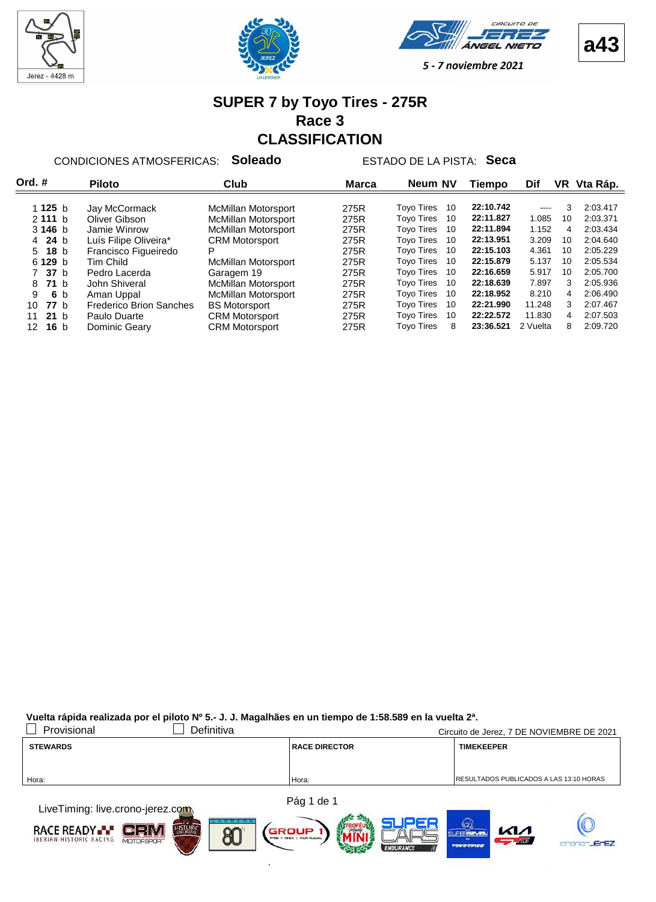







#### **SUPER 7 by Toyo Tires - 275R Race 3 CLASSIFICATION**

CONDICIONES ATMOSFERICAS: **Soleado** ESTADO DE LA PISTA: **Seca**

| Ord. #                | <b>Piloto</b>                  | Club                       | Marca | Neum NV                 | Tiempo    | Dif                                                                                                                                                                                                                                                                                                                                                                                                                                                                        |    | VR Vta Ráp. |
|-----------------------|--------------------------------|----------------------------|-------|-------------------------|-----------|----------------------------------------------------------------------------------------------------------------------------------------------------------------------------------------------------------------------------------------------------------------------------------------------------------------------------------------------------------------------------------------------------------------------------------------------------------------------------|----|-------------|
|                       |                                |                            |       |                         |           |                                                                                                                                                                                                                                                                                                                                                                                                                                                                            |    |             |
| 1 1 $25 b$            | Jay McCormack                  | McMillan Motorsport        | 275R  | <b>Toyo Tires</b><br>10 | 22:10.742 | $\frac{1}{2} \left( \frac{1}{2} \right) \left( \frac{1}{2} \right) \left( \frac{1}{2} \right) \left( \frac{1}{2} \right) \left( \frac{1}{2} \right) \left( \frac{1}{2} \right) \left( \frac{1}{2} \right) \left( \frac{1}{2} \right) \left( \frac{1}{2} \right) \left( \frac{1}{2} \right) \left( \frac{1}{2} \right) \left( \frac{1}{2} \right) \left( \frac{1}{2} \right) \left( \frac{1}{2} \right) \left( \frac{1}{2} \right) \left( \frac{1}{2} \right) \left( \frac$ | 3  | 2:03.417    |
| 2111 h                | Oliver Gibson                  | <b>McMillan Motorsport</b> | 275R  | <b>Toyo Tires</b><br>10 | 22:11.827 | 1.085                                                                                                                                                                                                                                                                                                                                                                                                                                                                      | 10 | 2:03.371    |
| 3146h                 | Jamie Winrow                   | <b>McMillan Motorsport</b> | 275R  | <b>Tovo Tires</b><br>10 | 22:11.894 | 1.152                                                                                                                                                                                                                                                                                                                                                                                                                                                                      | 4  | 2:03.434    |
| 4 24 b                | Luís Filipe Oliveira*          | <b>CRM Motorsport</b>      | 275R  | <b>Toyo Tires</b><br>10 | 22:13.951 | 3.209                                                                                                                                                                                                                                                                                                                                                                                                                                                                      | 10 | 2:04.640    |
| $5$ 18 b              | Francisco Figueiredo           | P                          | 275R  | <b>Tovo Tires</b><br>10 | 22:15.103 | 4.361                                                                                                                                                                                                                                                                                                                                                                                                                                                                      | 10 | 2:05.229    |
| 6 129 b               | Tim Child                      | McMillan Motorsport        | 275R  | <b>Tovo Tires</b><br>10 | 22:15.879 | 5.137                                                                                                                                                                                                                                                                                                                                                                                                                                                                      | 10 | 2:05.534    |
| 7 37 b                | Pedro Lacerda                  | Garagem 19                 | 275R  | <b>Tovo Tires</b><br>10 | 22:16.659 | 5.917                                                                                                                                                                                                                                                                                                                                                                                                                                                                      | 10 | 2:05.700    |
| <b>71</b> b<br>8      | John Shiveral                  | McMillan Motorsport        | 275R  | <b>Tovo Tires</b><br>10 | 22:18.639 | 7.897                                                                                                                                                                                                                                                                                                                                                                                                                                                                      | 3  | 2:05.936    |
| 9<br>6 b              | Aman Uppal                     | <b>McMillan Motorsport</b> | 275R  | <b>Toyo Tires</b><br>10 | 22:18.952 | 8.210                                                                                                                                                                                                                                                                                                                                                                                                                                                                      | 4  | 2:06.490    |
| <b>77</b> b<br>10     | <b>Frederico Brion Sanches</b> | <b>BS Motorsport</b>       | 275R  | <b>Tovo Tires</b><br>10 | 22:21.990 | 11.248                                                                                                                                                                                                                                                                                                                                                                                                                                                                     | 3  | 2:07.467    |
| 21 <sub>b</sub><br>11 | Paulo Duarte                   | <b>CRM Motorsport</b>      | 275R  | <b>Tovo Tires</b><br>10 | 22:22.572 | 11.830                                                                                                                                                                                                                                                                                                                                                                                                                                                                     | 4  | 2:07.503    |
| 16 <sub>b</sub><br>12 | Dominic Geary                  | <b>CRM Motorsport</b>      | 275R  | <b>Tovo Tires</b><br>8  | 23:36.521 | 2 Vuelta                                                                                                                                                                                                                                                                                                                                                                                                                                                                   | 8  | 2:09.720    |

| Provisional                                | Definitiva |                      | Circuito de Jerez, 7 DE NOVIEMBRE DE 2021       |
|--------------------------------------------|------------|----------------------|-------------------------------------------------|
| <b>STEWARDS</b>                            |            | <b>RACE DIRECTOR</b> | <b>TIMEKEEPER</b>                               |
|                                            |            |                      |                                                 |
|                                            |            |                      |                                                 |
| Hora:                                      |            | Hora:                | <b>IRESULTADOS PUBLICADOS A LAS 13:10 HORAS</b> |
|                                            |            |                      |                                                 |
| $\blacksquare$ indraulius arana iaran aakk |            | Pág 1 de 1           |                                                 |

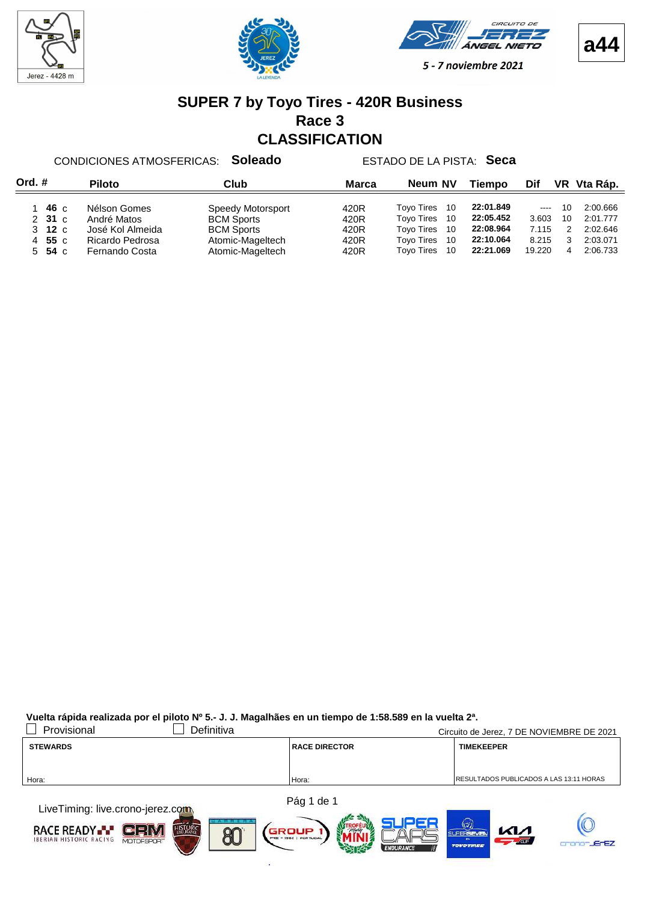







#### **SUPER 7 by Toyo Tires - 420R Business Race 3 CLASSIFICATION**

CONDICIONES ATMOSFERICAS: **Soleado** ESTADO DE LA PISTA: **Seca**

| Ord.# | <b>Piloto</b>          |                                                 | Neum NV<br>Club<br><b>Marca</b>                             |                      |                                                                               |                                     |                            |          | VR Vta Ráp.                      |
|-------|------------------------|-------------------------------------------------|-------------------------------------------------------------|----------------------|-------------------------------------------------------------------------------|-------------------------------------|----------------------------|----------|----------------------------------|
|       | 46 c<br>231c<br>3 12 c | Nélson Gomes<br>André Matos<br>José Kol Almeida | Speedy Motorsport<br><b>BCM Sports</b><br><b>BCM Sports</b> | 420R<br>420R<br>420R | <b>Tovo Tires</b><br>10<br><b>Tovo Tires</b><br>10<br><b>Tovo Tires</b><br>10 | 22:01.849<br>22:05.452<br>22:08.964 | $\cdots$<br>3.603<br>7.115 | 10<br>10 | 2:00.666<br>2:01.777<br>2:02.646 |
|       | 4 55 c<br>$5\,$ 54 c   | Ricardo Pedrosa<br>Fernando Costa               | Atomic-Mageltech<br>Atomic-Mageltech                        | 420R<br>420R         | <b>Tovo Tires</b><br>10<br><b>Tovo Tires</b><br>10                            | 22:10.064<br>22:21.069              | 8.215<br>19.220            | 4        | 2:03.071<br>2:06.733             |

| Provisional                                                                                                                                                                                                                   | Definitiva |                      | Circuito de Jerez, 7 DE NOVIEMBRE DE 2021       |
|-------------------------------------------------------------------------------------------------------------------------------------------------------------------------------------------------------------------------------|------------|----------------------|-------------------------------------------------|
| <b>STEWARDS</b>                                                                                                                                                                                                               |            | <b>RACE DIRECTOR</b> | <b>TIMEKEEPER</b>                               |
|                                                                                                                                                                                                                               |            |                      |                                                 |
| Hora:                                                                                                                                                                                                                         |            | Hora:                | <b>IRESULTADOS PUBLICADOS A LAS 13:11 HORAS</b> |
|                                                                                                                                                                                                                               |            |                      |                                                 |
| the company of the company of the company of the company of the company of the company of the company of the company of the company of the company of the company of the company of the company of the company of the company |            | Pág 1 de 1           |                                                 |

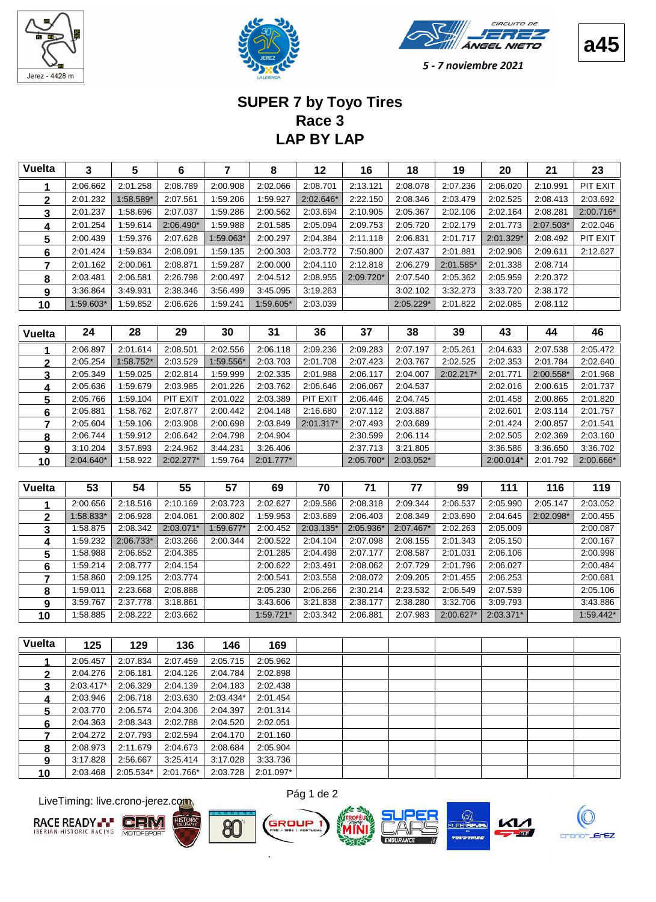





**a45**

5 - 7 noviembre 2021

# **LAP BY LAP Race 3 SUPER 7 by Toyo Tires**

| Vuelta | 3         | 5           | 6           |           | 8         | 12        | 16          | 18          | 19        | 20        | 21        | 23        |
|--------|-----------|-------------|-------------|-----------|-----------|-----------|-------------|-------------|-----------|-----------|-----------|-----------|
|        | 2:06.662  | 2:01.258    | 2:08.789    | 2:00.908  | 2:02.066  | 2:08.701  | 2:13.121    | 2:08.078    | 2:07.236  | 2:06.020  | 2:10.991  | PIT EXIT  |
| 2      | 2:01.232  | $1:58.589*$ | 2:07.561    | :59.206   | 1:59.927  | 2:02.646* | 2:22.150    | 2:08.346    | 2:03.479  | 2:02.525  | 2:08.413  | 2:03.692  |
| 3      | 2:01.237  | 1:58.696    | 2:07.037    | :59.286   | 2:00.562  | 2:03.694  | 2:10.905    | 2:05.367    | 2:02.106  | 2:02.164  | 2:08.281  | 2:00.716* |
| 4      | 2:01.254  | 1:59.614    | $2:06.490*$ | .59.988   | 2:01.585  | 2:05.094  | 2:09.753    | 2:05.720    | 2:02.179  | 2:01.773  | 2:07.503* | 2:02.046  |
| 5      | 2:00.439  | 1:59.376    | 2:07.628    | 1:59.063* | 2:00.297  | 2:04.384  | 2:11.118    | 2:06.831    | 2:01.717  | 2:01.329* | 2:08.492  | PIT EXIT  |
| 6      | 2:01.424  | 1:59.834    | 2:08.091    | 1:59.135  | 2:00.303  | 2:03.772  | 7:50.800    | 2:07.437    | 2:01.881  | 2:02.906  | 2:09.611  | 2:12.627  |
|        | 2:01.162  | 2:00.061    | 2:08.871    | :59.287   | 2:00.000  | 2:04.110  | 2:12.818    | 2:06.279    | 2:01.585* | 2:01.338  | 2:08.714  |           |
| 8      | 2:03.481  | 2:06.581    | 2:26.798    | 2:00.497  | 2:04.512  | 2:08.955  | $2:09.720*$ | 2:07.540    | 2:05.362  | 2:05.959  | 2:20.372  |           |
| 9      | 3:36.864  | 3:49.931    | 2:38.346    | 3:56.499  | 3:45.095  | 3:19.263  |             | 3:02.102    | 3:32.273  | 3:33.720  | 2:38.172  |           |
| 10     | 1:59.603* | 1:59.852    | 2:06.626    | :59.241   | 1:59.605* | 2:03.039  |             | $2:05.229*$ | 2:01.822  | 2:02.085  | 2:08.112  |           |

| <b>Vuelta</b> | 24          | 28          | 29          | 30        | 31          | 36          | 37        | 38        | 39          | 43          | 44        | 46        |
|---------------|-------------|-------------|-------------|-----------|-------------|-------------|-----------|-----------|-------------|-------------|-----------|-----------|
|               | 2:06.897    | 2:01.614    | 2:08.501    | 2:02.556  | 2:06.118    | 2:09.236    | 2:09.283  | 2:07.197  | 2:05.261    | 2:04.633    | 2:07.538  | 2:05.472  |
|               | 2:05.254    | $1:58.752*$ | 2:03.529    | 1:59.556* | 2:03.703    | 2:01.708    | 2:07.423  | 2:03.767  | 2:02.525    | 2:02.353    | 2:01.784  | 2:02.640  |
| 3             | 2:05.349    | 1:59.025    | 2:02.814    | :59.999   | 2:02.335    | 2:01.988    | 2:06.117  | 2:04.007  | $2:02.217*$ | 2:01.771    | 2:00.558* | 2:01.968  |
| 4             | 2:05.636    | 1:59.679    | 2:03.985    | 2:01.226  | 2:03.762    | 2:06.646    | 2:06.067  | 2:04.537  |             | 2:02.016    | 2:00.615  | 2:01.737  |
| 5             | 2:05.766    | 1:59.104    | PIT EXIT    | 2:01.022  | 2:03.389    | PIT EXIT    | 2:06.446  | 2:04.745  |             | 2:01.458    | 2:00.865  | 2:01.820  |
| 6             | 2:05.881    | 1:58.762    | 2:07.877    | 2:00.442  | 2:04.148    | 2:16.680    | 2:07.112  | 2:03.887  |             | 2:02.601    | 2:03.114  | 2:01.757  |
|               | 2:05.604    | 1:59.106    | 2:03.908    | 2:00.698  | 2:03.849    | $2:01.317*$ | 2:07.493  | 2:03.689  |             | 2:01.424    | 2:00.857  | 2:01.541  |
| 8             | 2:06.744    | 1:59.912    | 2:06.642    | 2:04.798  | 2:04.904    |             | 2:30.599  | 2:06.114  |             | 2:02.505    | 2:02.369  | 2:03.160  |
| 9             | 3:10.204    | 3:57.893    | 2:24.962    | 3:44.231  | 3:26.406    |             | 2:37.713  | 3:21.805  |             | 3:36.586    | 3:36.650  | 3:36.702  |
| 10            | $2:04.640*$ | 1:58.922    | $2:02.277*$ | :59.764   | $2:01.777*$ |             | 2:05.700* | 2:03.052* |             | $2:00.014*$ | 2:01.792  | 2:00.666* |

| <b>Vuelta</b> | 53        | 54        | 55        | 57        | 69        | 70          | 71        | 77        | 99          | 111       | 116       | 119         |
|---------------|-----------|-----------|-----------|-----------|-----------|-------------|-----------|-----------|-------------|-----------|-----------|-------------|
|               | 2:00.656  | 2:18.516  | 2:10.169  | 2:03.723  | 2:02.627  | 2:09.586    | 2:08.318  | 2:09.344  | 2:06.537    | 2:05.990  | 2:05.147  | 2:03.052    |
| 2             | 1:58.833* | 2:06.928  | 2:04.061  | 2:00.802  | 1:59.953  | 2:03.689    | 2:06.403  | 2:08.349  | 2:03.690    | 2:04.645  | 2:02.098* | 2:00.455    |
| 3             | 1:58.875  | 2:08.342  | 2:03.071* | 1:59.677* | 2:00.452  | $2:03.135*$ | 2:05.936* | 2:07.467* | 2:02.263    | 2:05.009  |           | 2:00.087    |
| 4             | 1:59.232  | 2:06.733* | 2:03.266  | 2:00.344  | 2:00.522  | 2:04.104    | 2:07.098  | 2:08.155  | 2:01.343    | 2:05.150  |           | 2:00.167    |
| 5             | 1:58.988  | 2:06.852  | 2:04.385  |           | 2:01.285  | 2:04.498    | 2:07.177  | 2:08.587  | 2:01.031    | 2:06.106  |           | 2:00.998    |
| 6             | 1:59.214  | 2:08.777  | 2:04.154  |           | 2:00.622  | 2:03.491    | 2:08.062  | 2:07.729  | 2:01.796    | 2:06.027  |           | 2:00.484    |
|               | 1:58.860  | 2:09.125  | 2:03.774  |           | 2:00.541  | 2:03.558    | 2:08.072  | 2:09.205  | 2:01.455    | 2:06.253  |           | 2:00.681    |
| 8             | 1:59.011  | 2:23.668  | 2:08.888  |           | 2:05.230  | 2:06.266    | 2:30.214  | 2:23.532  | 2:06.549    | 2:07.539  |           | 2:05.106    |
| 9             | 3:59.767  | 2:37.778  | 3:18.861  |           | 3:43.606  | 3:21.838    | 2:38.177  | 2:38.280  | 3:32.706    | 3:09.793  |           | 3:43.886    |
| 10            | 1:58.885  | 2:08.222  | 2:03.662  |           | 1:59.721* | 2:03.342    | 2:06.881  | 2:07.983  | $2:00.627*$ | 2:03.371* |           | $1:59.442*$ |

| <b>Vuelta</b> | 125         | 129       | 136       | 146       | 169       |  |  |  |  |
|---------------|-------------|-----------|-----------|-----------|-----------|--|--|--|--|
|               | 2:05.457    | 2:07.834  | 2:07.459  | 2:05.715  | 2:05.962  |  |  |  |  |
| 2             | 2:04.276    | 2:06.181  | 2:04.126  | 2:04.784  | 2:02.898  |  |  |  |  |
| 3             | $2:03.417*$ | 2:06.329  | 2:04.139  | 2:04.183  | 2:02.438  |  |  |  |  |
| 4             | 2:03.946    | 2:06.718  | 2:03.630  | 2:03.434* | 2:01.454  |  |  |  |  |
| 5             | 2:03.770    | 2:06.574  | 2:04.306  | 2:04.397  | 2:01.314  |  |  |  |  |
| 6             | 2:04.363    | 2:08.343  | 2:02.788  | 2:04.520  | 2:02.051  |  |  |  |  |
|               | 2:04.272    | 2:07.793  | 2:02.594  | 2:04.170  | 2:01.160  |  |  |  |  |
| 8             | 2:08.973    | 2:11.679  | 2:04.673  | 2:08.684  | 2:05.904  |  |  |  |  |
| a             | 3:17.828    | 2:56.667  | 3:25.414  | 3:17.028  | 3:33.736  |  |  |  |  |
| 10            | 2:03.468    | 2:05.534* | 2:01.766* | 2:03.728  | 2:01.097* |  |  |  |  |

LiveTiming: live.crono-jerez.com











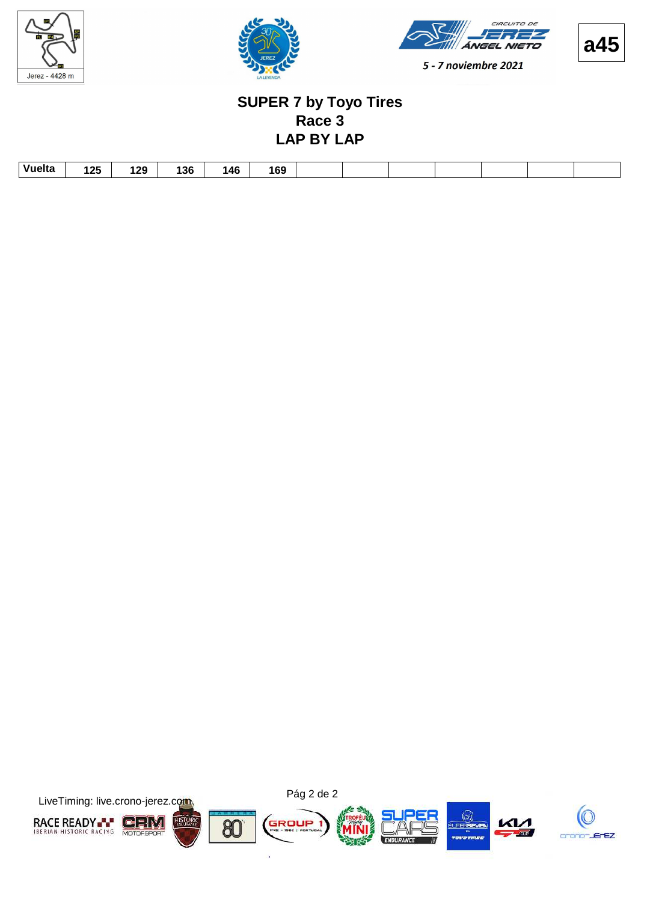





**a45**

#### **LAP BY LAP Race 3 SUPER 7 by Toyo Tires**

| Vuelta<br>4.2F<br>69<br>26 ו<br>l OC<br>146<br>ישו<br>14 L<br><b>TU</b><br>. . |        |  |  |  |  |  |  |
|--------------------------------------------------------------------------------|--------|--|--|--|--|--|--|
|                                                                                | $\sim$ |  |  |  |  |  |  |

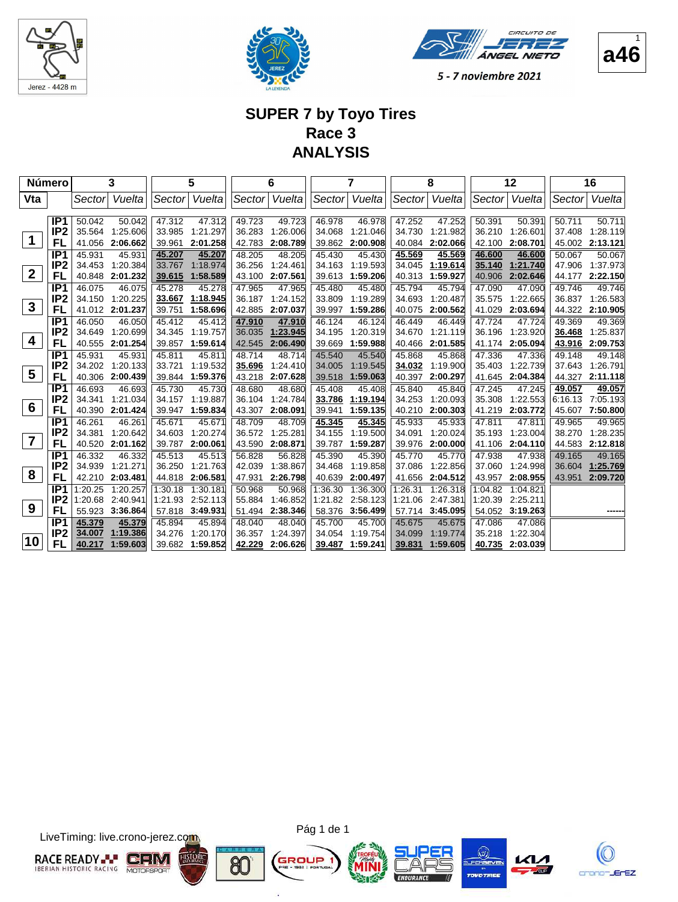





#### **SUPER 7 by Toyo Tires Race 3 ANALYSIS**

|                  | <b>Número</b>   |         | 3               |         | 5        |        | 6        |         | 7        |         | 8        |         | 12              |         | 16       |
|------------------|-----------------|---------|-----------------|---------|----------|--------|----------|---------|----------|---------|----------|---------|-----------------|---------|----------|
| Vta              |                 | Sector  | Vuelta          | Sector  | Vuelta   | Sector | Vuelta   | Sector  | Vuelta   | Sector  | Vuelta   | Sector  | Vuelta          | Sector  | Vuelta   |
|                  |                 |         |                 |         |          |        |          |         |          |         |          |         |                 |         |          |
|                  | IP <sub>1</sub> | 50.042  | 50.042          | 47.312  | 47.312   | 49.723 | 49.723   | 46.978  | 46.978   | 47.252  | 47.252   | 50.391  | 50.391          | 50.711  | 50.711   |
| 1                | IP <sub>2</sub> | 35.564  | 1:25.606        | 33.985  | 1:21.297 | 36.283 | 1:26.006 | 34.068  | 1:21.046 | 34.730  | 1:21.982 | 36.210  | 1:26.601        | 37.408  | 1:28.119 |
|                  | FL              | 41.056  | 2:06.662        | 39.961  | 2:01.258 | 42.783 | 2:08.789 | 39.862  | 2:00.908 | 40.084  | 2:02.066 | 42.100  | 2:08.701        | 45.002  | 2:13.121 |
|                  | IP <sub>1</sub> | 45.931  | 45.931          | 45.207  | 45.207   | 48.205 | 48.205   | 45.430  | 45.430   | 45.569  | 45.569   | 46.600  | 46.600          | 50.067  | 50.067   |
| $\boldsymbol{2}$ | IP <sub>2</sub> | 34.453  | 1:20.384        | 33.767  | 1:18.974 | 36.256 | 1:24.461 | 34.163  | 1:19.593 | 34.045  | 1:19.614 | 35.140  | 1:21.740        | 47.906  | 1:37.973 |
|                  | FL              | 40.848  | 2:01.232        | 39.615  | 1:58.589 | 43.100 | 2:07.561 | 39.613  | 1:59.206 | 40.313  | 1:59.927 | 40.906  | 2:02.646        | 44.177  | 2:22.150 |
|                  | IP <sub>1</sub> | 46.075  | 46.075          | 45.278  | 45.278   | 47.965 | 47.965   | 45.480  | 45.480   | 45.794  | 45.794   | 47.090  | 47.090          | 49.746  | 49.746   |
| $\mathbf{3}$     | IP <sub>2</sub> | 34.150  | 1:20.225        | 33.667  | 1:18.945 | 36.187 | 1:24.152 | 33.809  | 1:19.289 | 34.693  | 1:20.487 | 35.575  | 1:22.665        | 36.837  | 1:26.583 |
|                  | FL              | 41.012  | 2:01.237        | 39.751  | 1:58.696 | 42.885 | 2:07.037 | 39.997  | 1:59.286 | 40.075  | 2:00.562 | 41.029  | 2:03.694        | 44.322  | 2:10.905 |
|                  | IP <sub>1</sub> | 46.050  | 46.050          | 45.412  | 45.412   | 47.910 | 47.910   | 46.124  | 46.124   | 46.449  | 46.449   | 47.724  | 47.724          | 49.369  | 49.369   |
| 4                | IP <sub>2</sub> | 34.649  | 1:20.699        | 34.345  | 1:19.757 | 36.035 | 1:23.945 | 34.195  | 1:20.319 | 34.670  | 1:21.119 | 36.196  | 1:23.920        | 36.468  | 1:25.837 |
|                  | FL              |         | 40.555 2:01.254 | 39.857  | 1:59.614 | 42.545 | 2:06.490 | 39.669  | 1:59.988 | 40.466  | 2:01.585 | 41.174  | 2:05.094        | 43.916  | 2:09.753 |
|                  | IP <sub>1</sub> | 45.931  | 45.931          | 45.811  | 45.811   | 48.714 | 48.714   | 45.540  | 45.540   | 45.868  | 45.868   | 47.336  | 47.336          | 49.148  | 49.148   |
| 5                | IP <sub>2</sub> | 34.202  | 1:20.133        | 33.721  | 1:19.532 | 35.696 | 1:24.410 | 34.005  | 1:19.545 | 34.032  | 1:19.900 | 35.403  | 1:22.739        | 37.643  | 1:26.791 |
|                  | FL              | 40.306  | 2:00.439        | 39.844  | 1:59.376 | 43.218 | 2:07.628 | 39.518  | 1:59.063 | 40.397  | 2:00.297 | 41.645  | 2:04.384        | 44.327  | 2:11.118 |
|                  | IP <sub>1</sub> | 46.693  | 46.693          | 45.730  | 45.730   | 48.680 | 48.680   | 45.408  | 45.408   | 45.840  | 45.840   | 47.245  | 47.245          | 49.057  | 49.057   |
|                  | IP <sub>2</sub> | 34.341  | 1:21.034        | 34.157  | 1:19.887 | 36.104 | 1:24.784 | 33.786  | 1:19.194 | 34.253  | 1:20.093 | 35.308  | 1:22.553        | 6:16.13 | 7:05.193 |
| 6                | FL              | 40.390  | 2:01.424        | 39.947  | 1:59.834 | 43.307 | 2:08.091 | 39.941  | 1:59.135 | 40.210  | 2:00.303 | 41.219  | 2:03.772        | 45.607  | 7:50.800 |
|                  | IP <sub>1</sub> | 46.261  | 46.261          | 45.671  | 45.671   | 48.709 | 48.709   | 45.345  | 45.345   | 45.933  | 45.933   | 47.811  | 47.811          | 49.965  | 49.965   |
| $\overline{7}$   | IP <sub>2</sub> | 34.381  | 1:20.642        | 34.603  | 1:20.274 | 36.572 | 1:25.281 | 34.155  | 1:19.500 | 34.091  | 1:20.024 | 35.193  | 1:23.004        | 38.270  | 1:28.235 |
|                  | FL              | 40.520  | 2:01.162        | 39.787  | 2:00.061 | 43.590 | 2:08.871 | 39.787  | 1:59.287 | 39.976  | 2:00.000 | 41.106  | 2:04.110        | 44.583  | 2:12.818 |
|                  | IP <sub>1</sub> | 46.332  | 46.332          | 45.513  | 45.513   | 56.828 | 56.828   | 45.390  | 45.390   | 45.770  | 45.770   | 47.938  | 47.938          | 49.165  | 49.165   |
| 8                | IP <sub>2</sub> | 34.939  | 1:21.271        | 36.250  | 1:21.763 | 42.039 | 1:38.867 | 34.468  | 1:19.858 | 37.086  | 1:22.856 | 37.060  | 1:24.998        | 36.604  | 1:25.769 |
|                  | FL              | 42.210  | 2:03.481        | 44.818  | 2:06.581 | 47.931 | 2:26.798 | 40.639  | 2:00.497 | 41.656  | 2:04.512 | 43.957  | 2:08.955        | 43.951  | 2:09.720 |
|                  | IP <sub>1</sub> | 1:20.25 | 1:20.257        | 1:30.18 | 1:30.181 | 50.968 | 50.968   | 1:36.30 | 1:36.300 | 1:26.31 | 1:26.318 | 1:04.82 | 1:04.821        |         |          |
|                  | IP <sub>2</sub> | 1:20.68 | 2:40.941        | 1:21.93 | 2:52.113 | 55.884 | 1:46.852 | 1:21.82 | 2:58.123 | 1:21.06 | 2:47.381 | 1:20.39 | 2:25.211        |         |          |
| 9                | FL              | 55.923  | 3:36.864        | 57.818  | 3:49.931 | 51.494 | 2:38.346 | 58.376  | 3:56.499 | 57.714  | 3:45.095 |         | 54.052 3:19.263 |         |          |
|                  | IP <sub>1</sub> | 45.379  | 45.379          | 45.894  | 45.894   | 48.040 | 48.040   | 45.700  | 45.700   | 45.675  | 45.675   | 47.086  | 47.086          |         |          |
|                  | IP <sub>2</sub> | 34.007  | 1:19.386        | 34.276  | 1:20.170 | 36.357 | 1:24.397 | 34.054  | 1:19.754 | 34.099  | 1:19.774 | 35.218  | 1:22.304        |         |          |
| 10               | FL              | 40.217  | 1:59.603        | 39.682  | 1:59.852 | 42.229 | 2:06.626 | 39.487  | 1:59.241 | 39.831  | 1:59.605 | 40.735  | 2:03.039        |         |          |

LiveTiming: live.crono-jerez.com



Pág 1 de 1

G

ä









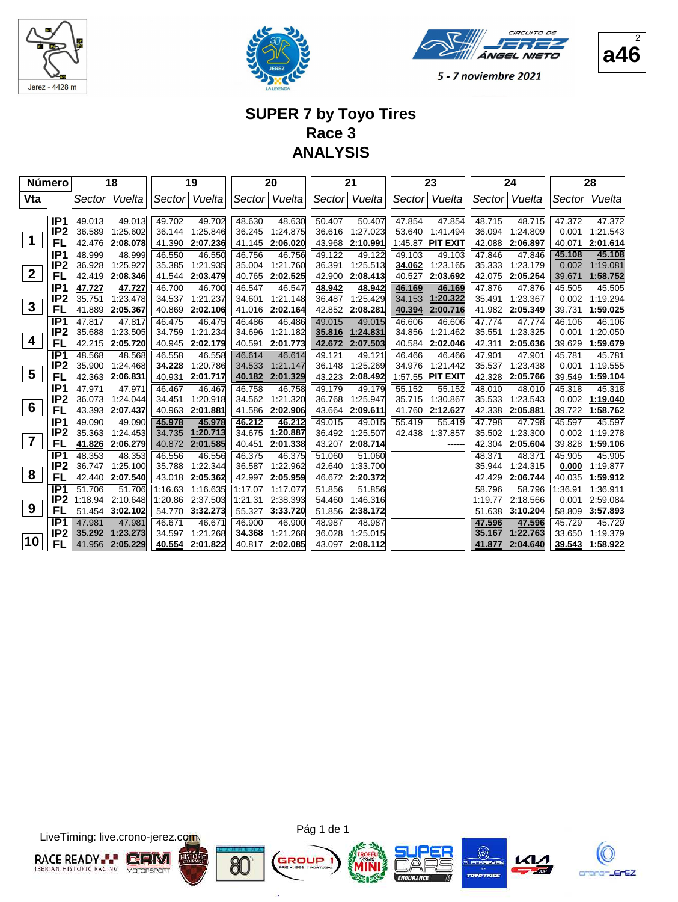





#### **SUPER 7 by Toyo Tires Race 3 ANALYSIS**

| <b>Número</b>    |                 |         | 18              |         | 19       |         | 20       |        | 21       |         | 23               |         | 24       |         | 28       |
|------------------|-----------------|---------|-----------------|---------|----------|---------|----------|--------|----------|---------|------------------|---------|----------|---------|----------|
| Vta              |                 | Sector  | Vuelta          | Sector  | Vuelta   | Sector  | Vuelta   | Sector | Vuelta   | Sector  | Vuelta           | Sector  | Vuelta   | Sector  | Vuelta   |
|                  |                 |         |                 |         |          |         |          |        |          |         |                  |         |          |         |          |
|                  | IP <sub>1</sub> | 49.013  | 49.013          | 49.702  | 49.702   | 48.630  | 48.630   | 50.407 | 50.407   | 47.854  | 47.854           | 48.715  | 48.715   | 47.372  | 47.372   |
|                  | IP <sub>2</sub> | 36.589  | 1:25.602        | 36.144  | 1:25.846 | 36.245  | 1:24.875 | 36.616 | 1:27.023 | 53.640  | 1:41.494         | 36.094  | 1:24.809 | 0.001   | 1:21.543 |
| $\mathbf 1$      | FL              | 42.476  | 2:08.078        | 41.390  | 2:07.236 | 41.145  | 2:06.020 | 43.968 | 2:10.991 | 1:45.87 | <b>PIT EXIT</b>  | 42.088  | 2:06.897 | 40.071  | 2:01.614 |
|                  | IP <sub>1</sub> | 48.999  | 48.999          | 46.550  | 46.550   | 46.756  | 46.756   | 49.122 | 49.122   | 49.103  | 49.103           | 47.846  | 47.846   | 45.108  | 45.108   |
| $\boldsymbol{2}$ | IP <sub>2</sub> | 36.928  | 1:25.927        | 35.385  | 1:21.935 | 35.004  | 1:21.760 | 36.391 | 1:25.513 | 34.062  | 1:23.165         | 35.333  | 1:23.179 | 0.002   | 1:19.081 |
|                  | FL              | 42.419  | 2:08.346        | 41.544  | 2:03.479 | 40.765  | 2:02.525 | 42.900 | 2:08.413 | 40.527  | 2:03.692         | 42.075  | 2:05.254 | 39.671  | 1:58.752 |
|                  | IP <sub>1</sub> | 47.727  | 47.727          | 46.700  | 46.700   | 46.547  | 46.547   | 48.942 | 48.942   | 46.169  | 46.169           | 47.876  | 47.876   | 45.505  | 45.505   |
| $\mathbf{3}$     | IP <sub>2</sub> | 35.751  | 1:23.478        | 34.537  | 1:21.237 | 34.601  | 1:21.148 | 36.487 | 1:25.429 | 34.153  | 1:20.322         | 35.491  | 1:23.367 | 0.002   | 1:19.294 |
|                  | FL              | 41.889  | 2:05.367        | 40.869  | 2:02.106 | 41.016  | 2:02.164 | 42.852 | 2:08.281 | 40.394  | 2:00.716         | 41.982  | 2:05.349 | 39.731  | 1:59.025 |
|                  | IP <sub>1</sub> | 47.817  | 47.817          | 46.475  | 46.475   | 46.486  | 46.486   | 49.015 | 49.015   | 46.606  | 46.606           | 47.774  | 47.774   | 46.106  | 46.106   |
| 4                | IP <sub>2</sub> | 35.688  | 1:23.505        | 34.759  | 1:21.234 | 34.696  | 1:21.182 | 35.816 | 1:24.831 | 34.856  | 1:21.462         | 35.551  | 1:23.325 | 0.001   | 1:20.050 |
|                  | FL              | 42.215  | 2:05.720        | 40.945  | 2:02.179 | 40.591  | 2:01.773 | 42.672 | 2:07.503 | 40.584  | 2:02.046         | 42.311  | 2:05.636 | 39.629  | 1:59.679 |
|                  | IP <sub>1</sub> | 48.568  | 48.568          | 46.558  | 46.558   | 46.614  | 46.614   | 49.121 | 49.121   | 46.466  | 46.466           | 47.901  | 47.901   | 45.781  | 45.781   |
| 5                | IP <sub>2</sub> | 35.900  | 1:24.468        | 34.228  | 1:20.786 | 34.533  | 1:21.147 | 36.148 | 1:25.269 | 34.976  | 1:21.442         | 35.537  | 1:23.438 | 0.001   | 1:19.555 |
|                  | FL              | 42.363  | 2:06.831        | 40.931  | 2:01.717 | 40.182  | 2:01.329 | 43.223 | 2:08.492 |         | 1:57.55 PIT EXIT | 42.328  | 2:05.766 | 39.549  | 1:59.104 |
|                  | IP <sub>1</sub> | 47.971  | 47.971          | 46.467  | 46.467   | 46.758  | 46.758   | 49.179 | 49.179   | 55.152  | 55.152           | 48.010  | 48.010   | 45.318  | 45.318   |
| $6\phantom{1}6$  | IP <sub>2</sub> | 36.073  | 1:24.044        | 34.451  | 1:20.918 | 34.562  | 1:21.320 | 36.768 | 1:25.947 | 35.715  | 1:30.867         | 35.533  | 1:23.543 | 0.002   | 1:19.040 |
|                  | FL              | 43.393  | 2:07.437        | 40.963  | 2:01.881 | 41.586  | 2:02.906 | 43.664 | 2:09.611 | 41.760  | 2:12.627         | 42.338  | 2:05.881 | 39.722  | 1:58.762 |
|                  | IP <sub>1</sub> | 49.090  | 49.090          | 45.978  | 45.978   | 46.212  | 46.212   | 49.015 | 49.015   | 55.419  | 55.419           | 47.798  | 47.798   | 45.597  | 45.597   |
| $\overline{7}$   | IP <sub>2</sub> | 35.363  | 1:24.453        | 34.735  | 1:20.713 | 34.675  | 1:20.887 | 36.492 | 1:25.507 | 42.438  | 1:37.857         | 35.502  | 1:23.300 | 0.002   | 1:19.278 |
|                  | FL              | 41.826  | 2:06.279        | 40.872  | 2:01.585 | 40.451  | 2:01.338 | 43.207 | 2:08.714 |         |                  | 42.304  | 2:05.604 | 39.828  | 1:59.106 |
|                  | IP <sub>1</sub> | 48.353  | 48.353          | 46.556  | 46.556   | 46.375  | 46.375   | 51.060 | 51.060   |         |                  | 48.371  | 48.371   | 45.905  | 45.905   |
| 8                | IP <sub>2</sub> | 36.747  | 1:25.100        | 35.788  | 1:22.344 | 36.587  | 1:22.962 | 42.640 | 1:33.700 |         |                  | 35.944  | 1:24.315 | 0.000   | 1:19.877 |
|                  | FL              | 42.440  | 2:07.540        | 43.018  | 2:05.362 | 42.997  | 2:05.959 | 46.672 | 2:20.372 |         |                  | 42.429  | 2:06.744 | 40.035  | 1:59.912 |
|                  | IP <sub>1</sub> | 51.706  | 51.706          | 1:16.63 | 1:16.635 | 1:17.07 | 1:17.077 | 51.856 | 51.856   |         |                  | 58.796  | 58.796   | 1:36.91 | 1:36.911 |
| 9                | IP <sub>2</sub> | 1:18.94 | 2:10.648        | 1:20.86 | 2:37.503 | 1:21.31 | 2:38.393 | 54.460 | 1:46.316 |         |                  | 1:19.77 | 2:18.566 | 0.001   | 2:59.084 |
|                  | FL              |         | 51.454 3:02.102 | 54.770  | 3:32.273 | 55.327  | 3:33.720 | 51.856 | 2:38.172 |         |                  | 51.638  | 3:10.204 | 58.809  | 3:57.893 |
|                  | IP <sub>1</sub> | 47.981  | 47.981          | 46.671  | 46.671   | 46.900  | 46.900   | 48.987 | 48.987   |         |                  | 47.596  | 47.596   | 45.729  | 45.729   |
| 10               | IP <sub>2</sub> | 35.292  | 1:23.273        | 34.597  | 1:21.268 | 34.368  | 1:21.268 | 36.028 | 1:25.015 |         |                  | 35.167  | 1:22.763 | 33.650  | 1:19.379 |
|                  | FL              | 41.956  | 2:05.229        | 40.554  | 2:01.822 | 40.817  | 2:02.085 | 43.097 | 2:08.112 |         |                  | 41.877  | 2:04.640 | 39.543  | 1:58.922 |

LiveTiming: live.crono-jerez.com



Pág 1 de 1

G

ä









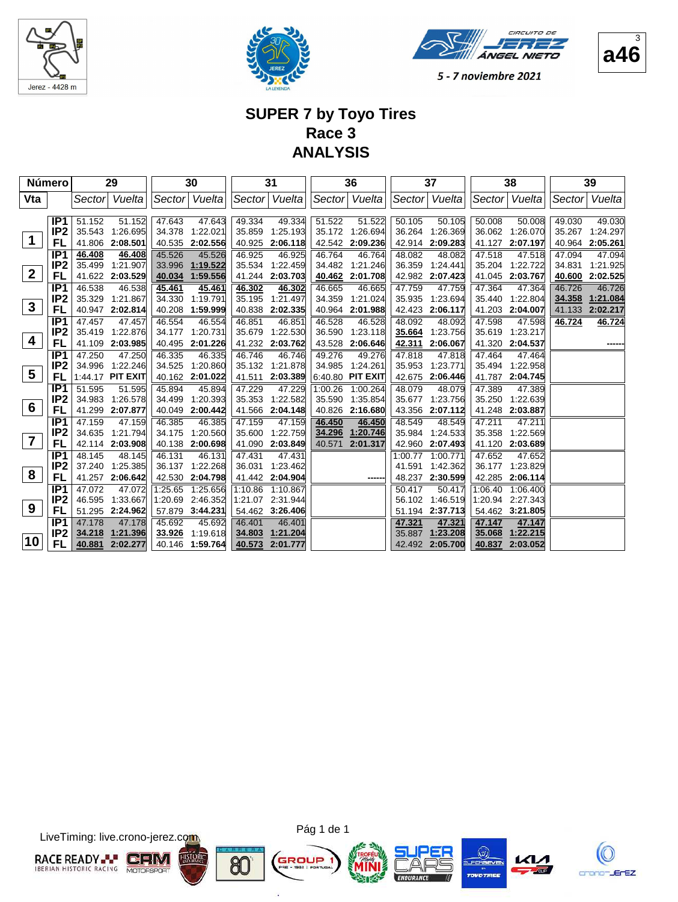





# **SUPER 7 by Toyo Tires Race 3 ANALYSIS**

|                | <b>Número</b>   |        | 29               |         | 30               |         | 31              |         | 36               |         | 37              |         | 38               |        | 39       |
|----------------|-----------------|--------|------------------|---------|------------------|---------|-----------------|---------|------------------|---------|-----------------|---------|------------------|--------|----------|
| Vta            |                 |        | Sector Vuelta    |         | Sector Vuelta    |         | Sector Vuelta   |         | Sector  Vuelta   |         | Sector Vuelta   |         | Sector  Vuelta   | Sector | Vuelta   |
|                |                 |        |                  |         |                  |         |                 |         |                  |         |                 |         |                  |        |          |
|                | IP <sub>1</sub> | 51.152 | 51.152           | 47.643  | 47.643           | 49.334  | 49.334          | 51.522  | 51.522           | 50.105  | 50.105          | 50.008  | 50.008           | 49.030 | 49.030   |
|                | IP <sub>2</sub> |        | 35.543 1:26.695  | 34.378  | 1:22.021         | 35.859  | 1:25.193        | 35.172  | 1:26.694         | 36.264  | 1:26.369        |         | 36.062 1:26.070  | 35.267 | 1:24.297 |
| 1              | FL              |        | 41.806 2:08.501  |         | 40.535 2:02.556  | 40.925  | 2:06.118        | 42.542  | 2:09.236         | 42.914  | 2:09.283        | 41.127  | 2:07.197         | 40.964 | 2:05.261 |
|                | IP <sub>1</sub> | 46.408 | 46.408           | 45.526  | 45.526           | 46.925  | 46.925          | 46.764  | 46.764           | 48.082  | 48.082          | 47.518  | 47.518           | 47.094 | 47.094   |
|                | IP <sub>2</sub> |        | 35.499 1:21.907  | 33.996  | 1:19.522         | 35.534  | 1:22.459        | 34.482  | 1:21.246         | 36.359  | 1:24.441        | 35.204  | 1:22.722         | 34.831 | 1:21.925 |
| $\mathbf{2}$   | FL              |        | 41.622 2:03.529  | 40.034  | 1:59.556         | 41.244  | 2:03.703        | 40.462  | 2:01.708         | 42.982  | 2:07.423        | 41.045  | 2:03.767         | 40.600 | 2:02.525 |
|                | IP <sub>1</sub> | 46.538 | 46.538           | 45.461  | 45.461           | 46.302  | 46.302          | 46.665  | 46.665           | 47.759  | 47.759          | 47.364  | 47.364           | 46.726 | 46.726   |
|                | IP <sub>2</sub> |        | 35.329 1:21.867  | 34.330  | 1:19.791         | 35.195  | 1:21.497        | 34.359  | 1:21.024         | 35.935  | 1:23.694        | 35.440  | 1:22.804         | 34.358 | 1:21.084 |
| $\mathbf{3}$   | FL              |        | 40.947 2:02.814  | 40.208  | 1:59.999         | 40.838  | 2:02.335        | 40.964  | 2:01.988         | 42.423  | 2:06.117        | 41.203  | 2:04.007         | 41.133 | 2:02.217 |
|                | IP <sub>1</sub> | 47.457 | 47.457           | 46.554  | 46.554           | 46.851  | 46.851          | 46.528  | 46.528           | 48.092  | 48.092          | 47.598  | 47.598           | 46.724 | 46.724   |
|                | IP <sub>2</sub> |        | 35.419 1:22.876  | 34.177  | 1:20.731         | 35.679  | 1:22.530        | 36.590  | 1:23.118         | 35.664  | 1:23.756        | 35.619  | 1:23.217         |        |          |
| 4              | FL              |        | 41.109 2:03.985  | 40.495  | 2:01.226         | 41.232  | 2:03.762        | 43.528  | 2:06.646         | 42.311  | 2:06.067        | 41.320  | 2:04.537         |        |          |
|                | IP <sub>1</sub> | 47.250 | 47.250           | 46.335  | 46.335           | 46.746  | 46.746          | 49.276  | 49.276           | 47.818  | 47.818          | 47.464  | 47.464           |        |          |
|                | IP <sub>2</sub> |        | 34.996 1:22.246  |         | 34.525 1:20.860  |         | 35.132 1:21.878 | 34.985  | 1:24.261         | 35.953  | 1:23.771        |         | 35.494 1:22.958  |        |          |
| 5              | FL              |        | 1:44.17 PIT EXIT |         | 40.162 2:01.022  | 41.511  | 2:03.389        |         | 6:40.80 PIT EXIT |         | 42.675 2:06.446 | 41.787  | 2:04.745         |        |          |
|                | IP <sub>1</sub> | 51.595 | 51.595           | 45.894  | 45.894           | 47.229  | 47.229          | 1:00.26 | 1:00.264         | 48.079  | 48.079          | 47.389  | 47.389           |        |          |
|                | IP <sub>2</sub> |        | 34.983 1:26.578  | 34.499  | 1:20.393         | 35.353  | 1:22.582        | 35.590  | 1:35.854         | 35.677  | 1:23.756        | 35.250  | 1:22.639         |        |          |
| 6              | FL              |        | 41.299 2:07.877  | 40.049  | 2:00.442         | 41.566  | 2:04.148        | 40.826  | 2:16.680         | 43.356  | 2:07.112        | 41.248  | 2:03.887         |        |          |
|                | IP <sub>1</sub> | 47.159 | 47.159           | 46.385  | 46.385           | 47.159  | 47.159          | 46.450  | 46.450           | 48.549  | 48.549          | 47.211  | 47.211           |        |          |
|                | IP <sub>2</sub> |        | 34.635 1:21.794  | 34.175  | 1:20.560         | 35.600  | 1:22.759        | 34.296  | 1:20.746         | 35.984  | 1:24.533        | 35.358  | 1:22.569         |        |          |
| $\overline{7}$ | FL              |        | 42.114 2:03.908  |         | 40.138 2:00.698  | 41.090  | 2:03.849        | 40.571  | 2:01.317         | 42.960  | 2:07.493        | 41.120  | 2:03.689         |        |          |
|                | IP <sub>1</sub> | 48.145 | 48.145           | 46.131  | 46.131           | 47.431  | 47.431          |         |                  | 1:00.77 | 1:00.771        | 47.652  | 47.652           |        |          |
|                | IP <sub>2</sub> |        | 37.240 1:25.385  | 36.137  | 1:22.268         | 36.031  | 1:23.462        |         |                  | 41.591  | 1:42.362        |         | 36.177 1:23.829  |        |          |
| 8              | FL              |        | 41.257 2:06.642  |         | 42.530 2:04.798  | 41.442  | 2:04.904        |         |                  |         | 48.237 2:30.599 | 42.285  | 2:06.114         |        |          |
|                | IP <sub>1</sub> | 47.072 | 47.072           | 1:25.65 | 1:25.656         | 1:10.86 | 1:10.867        |         |                  | 50.417  | 50.417          | 1:06.40 | 1:06.400         |        |          |
|                | IP <sub>2</sub> |        | 46.595 1:33.667  |         | 1:20.69 2:46.352 | 1:21.07 | 2:31.944        |         |                  | 56.102  | 1.46.519        |         | 1:20.94 2:27.343 |        |          |
| 9              | FL              |        | 51.295 2:24.962  |         | 57.879 3:44.231  |         | 54.462 3:26.406 |         |                  | 51.194  | 2:37.713        |         | 54.462 3:21.805  |        |          |
|                | IP <sub>1</sub> | 47.178 | 47.178           | 45.692  | 45.692           | 46.401  | 46.401          |         |                  | 47.321  | 47.321          | 47.147  | 47.147           |        |          |
|                | IP <sub>2</sub> | 34.218 | 1:21.396         | 33.926  | 1:19.618         | 34.803  | 1:21.204        |         |                  | 35.887  | 1:23.208        | 35.068  | 1:22.215         |        |          |
| 10             | FL              | 40.881 | 2:02.277         |         | 40.146 1:59.764  | 40.573  | 2:01.777        |         |                  | 42.492  | 2:05.700        | 40.837  | 2:03.052         |        |          |

LiveTiming: live.crono-jerez.com



Pág 1 de 1

G

ä









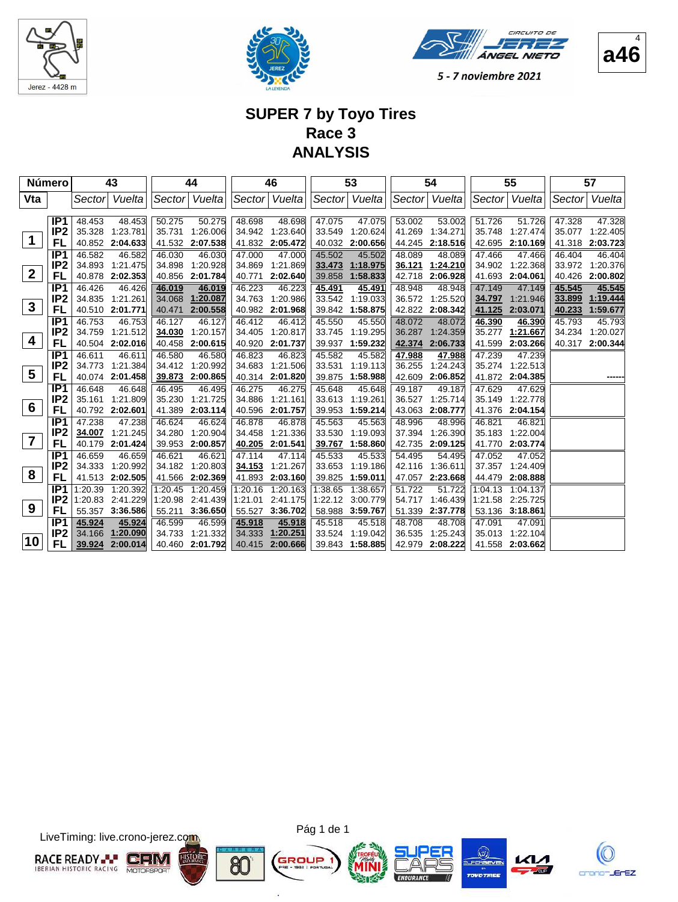





**a46**  $\lambda$ 

5 - 7 noviembre 2021

# **SUPER 7 by Toyo Tires Race 3 ANALYSIS**

|                  | <b>Número</b>   |        | 43               |         | 44              |         | 46            |         | 53       |        | 54              |         | 55              |        | 57              |
|------------------|-----------------|--------|------------------|---------|-----------------|---------|---------------|---------|----------|--------|-----------------|---------|-----------------|--------|-----------------|
| Vta              |                 |        | Sector Vuelta    | Sector  | Vuelta          |         | Sector Vuelta | Sector  | Vuelta   |        | Sector Vuelta   |         | Sector Vuelta   | Sector | Vuelta          |
|                  |                 |        |                  |         |                 |         |               |         |          |        |                 |         |                 |        |                 |
|                  | IP <sub>1</sub> | 48.453 | 48.453           | 50.275  | 50.275          | 48.698  | 48.698        | 47.075  | 47.075   | 53.002 | 53.002          | 51.726  | 51.726          | 47.328 | 47.328          |
|                  | IP <sub>2</sub> |        | 35.328 1:23.781  | 35.731  | 1:26.006        | 34.942  | 1:23.640      | 33.549  | 1:20.624 | 41.269 | 1:34.271        | 35.748  | 1:27.474        | 35.077 | 1:22.405        |
| 1                | FL              |        | 40.852 2:04.633  |         | 41.532 2:07.538 | 41.832  | 2:05.472      | 40.032  | 2:00.656 | 44.245 | 2:18.516        | 42.695  | 2:10.169        | 41.318 | 2:03.723        |
|                  | IP <sub>1</sub> | 46.582 | 46.582           | 46.030  | 46.030          | 47.000  | 47.000        | 45.502  | 45.502   | 48.089 | 48.089          | 47.466  | 47.466          | 46.404 | 46.404          |
|                  | IP <sub>2</sub> |        | 34.893 1:21.475  | 34.898  | 1:20.928        | 34.869  | 1:21.869      | 33.473  | 1:18.975 | 36.121 | 1:24.210        | 34.902  | 1:22.368        | 33.972 | 1:20.376        |
| $\boldsymbol{2}$ | FL              |        | 40.878 2:02.353  | 40.856  | 2:01.784        | 40.771  | 2:02.640      | 39.858  | 1:58.833 | 42.718 | 2:06.928        | 41.693  | 2:04.061        | 40.426 | 2:00.802        |
|                  | IP <sub>1</sub> | 46.426 | 46.426           | 46.019  | 46.019          | 46.223  | 46.223        | 45.491  | 45.491   | 48.948 | 48.948          | 47.149  | 47.149          | 45.545 | 45.545          |
|                  | IP <sub>2</sub> |        | 34.835 1:21.261  | 34.068  | 1:20.087        | 34.763  | 1:20.986      | 33.542  | 1:19.033 |        | 36.572 1:25.520 | 34.797  | 1:21.946        | 33.899 | 1:19.444        |
| $\mathbf{3}$     | <b>FL</b>       |        | 40.510 2:01.771  | 40.471  | 2:00.558        | 40.982  | 2:01.968      | 39.842  | 1:58.875 | 42.822 | 2:08.342        | 41.125  | 2:03.071        | 40.233 | 1:59.677        |
|                  | IP <sub>1</sub> | 46.753 | 46.753           | 46.127  | 46.127          | 46.412  | 46.412        | 45.550  | 45.550   | 48.072 | 48.072          | 46.390  | 46.390          | 45.793 | 45.793          |
|                  | IP <sub>2</sub> |        | 34.759 1:21.512  | 34.030  | 1:20.157        | 34.405  | 1:20.817      | 33.745  | 1:19.295 | 36.287 | 1:24.359        | 35.277  | 1:21.667        | 34.234 | 1:20.027        |
| 4                | FL              |        | 40.504 2:02.016  | 40.458  | 2:00.615        | 40.920  | 2:01.737      | 39.937  | 1:59.232 | 42.374 | 2:06.733        | 41.599  | 2:03.266        |        | 40.317 2:00.344 |
|                  | IP <sub>1</sub> | 46.611 | 46.611           | 46.580  | 46.580          | 46.823  | 46.823        | 45.582  | 45.582   | 47.988 | 47.988          | 47.239  | 47.239          |        |                 |
|                  | IP <sub>2</sub> |        | 34.773 1:21.384  | 34.412  | 1:20.992        | 34.683  | 1:21.506      | 33.531  | 1:19.113 | 36.255 | 1:24.243        | 35.274  | 1:22.513        |        |                 |
| $5\phantom{1}$   | FL              |        | 40.074 2:01.458  | 39.873  | 2:00.865        | 40.314  | 2:01.820      | 39.875  | 1:58.988 | 42.609 | 2:06.852        | 41.872  | 2:04.385        |        |                 |
|                  | IP <sub>1</sub> | 46.648 | 46.648           | 46.495  | 46.495          | 46.275  | 46.275        | 45.648  | 45.648   | 49.187 | 49.187          | 47.629  | 47.629          |        |                 |
|                  | IP <sub>2</sub> |        | 35.161 1:21.809  | 35.230  | 1:21.725        | 34.886  | 1:21.161      | 33.613  | 1:19.261 | 36.527 | 1:25.714        | 35.149  | 1:22.778        |        |                 |
| 6                | FL              |        | 40.792 2:02.601  | 41.389  | 2:03.114        | 40.596  | 2:01.757      | 39.953  | 1:59.214 | 43.063 | 2:08.777        | 41.376  | 2:04.154        |        |                 |
|                  | IP <sub>1</sub> | 47.238 | 47.238           | 46.624  | 46.624          | 46.878  | 46.878        | 45.563  | 45.563   | 48.996 | 48.996          | 46.821  | 46.821          |        |                 |
|                  | IP <sub>2</sub> | 34.007 | 1:21.245         | 34.280  | 1:20.904        | 34.458  | 1:21.336      | 33.530  | 1:19.093 | 37.394 | 1:26.390        | 35.183  | 1:22.004        |        |                 |
| $\overline{7}$   | FL              |        | 40.179 2:01.424  | 39.953  | 2:00.857        | 40.205  | 2:01.541      | 39.767  | 1:58.860 | 42.735 | 2:09.125        | 41.770  | 2:03.774        |        |                 |
|                  | IP <sub>1</sub> | 46.659 | 46.659           | 46.621  | 46.621          | 47.114  | 47.114        | 45.533  | 45.533   | 54.495 | 54.495          | 47.052  | 47.052          |        |                 |
|                  | IP <sub>2</sub> |        | 34.333 1:20.992  | 34.182  | 1:20.803        | 34.153  | 1:21.267      | 33.653  | 1:19.186 | 42.116 | 1:36.611        | 37.357  | 1:24.409        |        |                 |
| 8                | FL              |        | 41.513 2:02.505  | 41.566  | 2:02.369        | 41.893  | 2:03.160      | 39.825  | 1:59.011 | 47.057 | 2:23.668        | 44.479  | 2:08.888        |        |                 |
|                  | IP <sub>1</sub> |        | 1:20.39 1:20.392 | 1:20.45 | 1:20.459        | 1:20.16 | 1:20.163      | 1:38.65 | 1:38.657 | 51.722 | 51.722          | 1:04.13 | 1:04.137        |        |                 |
|                  | IP <sub>2</sub> |        | 1:20.83 2:41.229 | 1:20.98 | 2:41.439        | 1:21.01 | 2:41.175      | 1:22.12 | 3:00.779 | 54.717 | 1.46.439        | 1:21.58 | 2:25.725        |        |                 |
| 9                | FL              |        | 55.357 3:36.586  | 55.211  | 3:36.650        | 55.527  | 3:36.702      | 58.988  | 3:59.767 | 51.339 | 2:37.778        |         | 53.136 3:18.861 |        |                 |
|                  | IP <sub>1</sub> | 45.924 | 45.924           | 46.599  | 46.599          | 45.918  | 45.918        | 45.518  | 45.518   | 48.708 | 48.708          | 47.091  | 47.091          |        |                 |
|                  | IP <sub>2</sub> | 34.166 | 1:20.090         | 34.733  | 1:21.332        | 34.333  | 1:20.251      | 33.524  | 1:19.042 | 36.535 | 1:25.243        | 35.013  | 1:22.104        |        |                 |
| 10               | FL              | 39.924 | 2:00.014         |         | 40.460 2:01.792 | 40.415  | 2:00.666      | 39.843  | 1:58.885 | 42.979 | 2:08.222        | 41.558  | 2:03.662        |        |                 |

LiveTiming: live.crono-jerez.com





G

ä







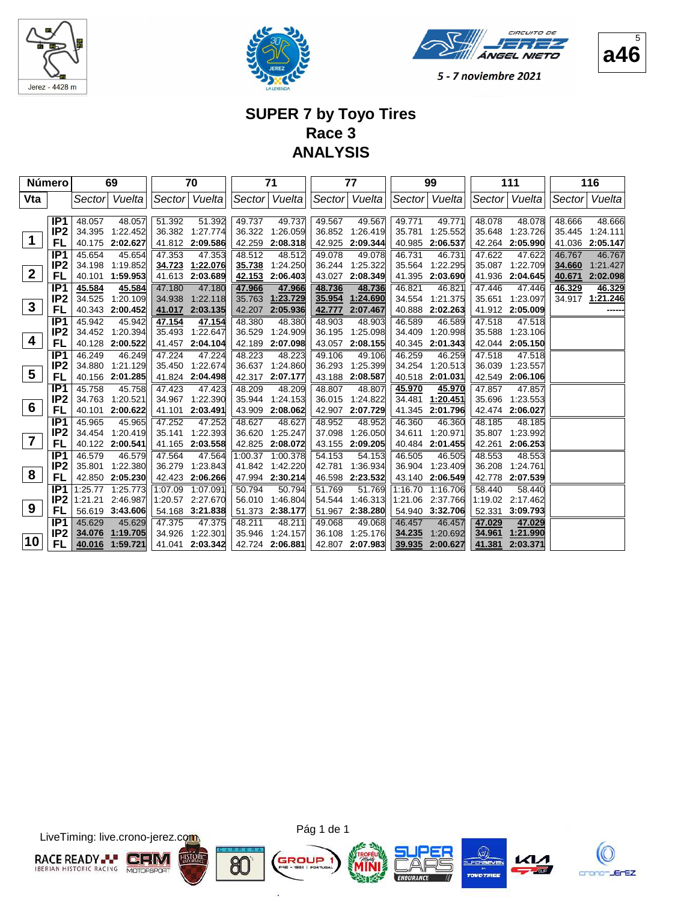





#### **SUPER 7 by Toyo Tires Race 3 ANALYSIS**

|              | Número          |         | 69               |         | 70               |         | 71              |        | 77              |         | 99               |        | 111              |        | 116             |
|--------------|-----------------|---------|------------------|---------|------------------|---------|-----------------|--------|-----------------|---------|------------------|--------|------------------|--------|-----------------|
| Vta          |                 |         | Sector Vuelta    |         | Sector Vuelta    |         | Sector   Vuelta |        | Sector Vuelta   |         | Sector Vuelta    |        | Sector Vuelta    | Sector | Vuelta          |
|              |                 |         |                  |         |                  |         |                 |        |                 |         |                  |        |                  |        |                 |
|              | IP <sub>1</sub> | 48.057  | 48.057           | 51.392  | 51.392           | 49.737  | 49.737          | 49.567 | 49.567          | 49.771  | 49.771           | 48.078 | 48.078           | 48.666 | 48.666          |
|              | IP <sub>2</sub> |         | 34.395 1:22.452  |         | 36.382 1:27.774  |         | 36.322 1:26.059 | 36.852 | 1:26.419        | 35.781  | 1:25.552         | 35.648 | 1:23.726         |        | 35.445 1:24.111 |
| 1            | FL              |         | 40.175 2:02.627  |         | 41.812 2:09.586  | 42.259  | 2:08.318        | 42.925 | 2:09.344        | 40.985  | 2:06.537         | 42.264 | 2:05.990         | 41.036 | 2:05.147        |
|              | IP <sub>1</sub> | 45.654  | 45.654           | 47.353  | 47.353           | 48.512  | 48.512          | 49.078 | 49.078          | 46.731  | 46.731           | 47.622 | 47.622           | 46.767 | 46.767          |
|              | IP <sub>2</sub> |         | 34.198 1:19.852  |         | 34.723 1:22.076  | 35.738  | 1:24.250        | 36.244 | 1:25.322        | 35.564  | 1:22.295         | 35.087 | 1:22.709         | 34.660 | 1:21.427        |
| $\mathbf{2}$ | FL              |         | 40.101 1:59.953  |         | 41.613 2:03.689  | 42.153  | 2:06.403        | 43.027 | 2:08.349        | 41.395  | 2:03.690         | 41.936 | 2:04.645         | 40.671 | 2:02.098        |
|              | IP <sub>1</sub> | 45.584  | 45.584           | 47.180  | 47.180           | 47.966  | 47.966          | 48.736 | 48.736          | 46.821  | 46.821           | 47.446 | 47.446           | 46.329 | 46.329          |
|              | IP <sub>2</sub> |         | 34.525 1:20.109  | 34.938  | 1:22.118         | 35.763  | 1:23.729        | 35.954 | 1:24.690        | 34.554  | 1:21.375         | 35.651 | 1:23.097         | 34.917 | 1:21.246        |
| $\mathbf{3}$ | FL              |         | 40.343 2:00.452  | 41.017  | 2:03.135         | 42.207  | 2:05.936        | 42.777 | 2:07.467        | 40.888  | 2:02.263         | 41.912 | 2:05.009         |        |                 |
|              | IP <sub>1</sub> | 45.942  | 45.942           | 47.154  | 47.154           | 48.380  | 48.380          | 48.903 | 48.903          | 46.589  | 46.589           | 47.518 | 47.518           |        |                 |
|              | IP <sub>2</sub> |         | 34.452 1:20.394  | 35.493  | 1:22.647         | 36.529  | 1:24.909        | 36.195 | 1:25.098        | 34.409  | 1:20.998         | 35.588 | 1:23.106         |        |                 |
| 4            | FL              |         | 40.128 2:00.522  |         | 41.457 2:04.104  | 42.189  | 2:07.098        | 43.057 | 2:08.155        | 40.345  | 2:01.343         |        | 42.044 2:05.150  |        |                 |
|              | IP <sub>1</sub> | 46.249  | 46.249           | 47.224  | 47.224           | 48.223  | 48.223          | 49.106 | 49.106          | 46.259  | 46.259           | 47.518 | 47.518           |        |                 |
|              | IP <sub>2</sub> |         | 34.880 1:21.129  |         | 35.450 1:22.674  |         | 36.637 1:24.860 | 36.293 | 1:25.399        | 34.254  | 1:20.513         | 36.039 | 1:23.557         |        |                 |
| 5            | FL              |         | 40.156 2:01.285  |         | 41.824 2:04.498  |         | 42.317 2:07.177 | 43.188 | 2:08.587        | 40.518  | 2:01.031         | 42.549 | 2:06.106         |        |                 |
|              | IP <sub>1</sub> | 45.758  | 45.758           | 47.423  | 47.423           | 48.209  | 48.209          | 48.807 | 48.807          | 45.970  | 45.970           | 47.857 | 47.857           |        |                 |
|              | IP <sub>2</sub> |         | 34.763 1:20.521  |         | 34.967 1:22.390  | 35.944  | 1:24.153        | 36.015 | 1:24.822        | 34.481  | 1:20.451         | 35.696 | 1.23.553         |        |                 |
| 6            | FL              |         | 40.101 2:00.622  | 41.101  | 2:03.491         | 43.909  | 2:08.062        | 42.907 | 2:07.729        | 41.345  | 2:01.796         | 42.474 | 2:06.027         |        |                 |
|              | IP <sub>1</sub> | 45.965  | 45.965           | 47.252  | 47.252           | 48.627  | 48.627          | 48.952 | 48.952          | 46.360  | 46.360           | 48.185 | 48.185           |        |                 |
|              | IP <sub>2</sub> |         | 34.454 1:20.419  | 35.141  | 1:22.393         | 36.620  | 1:25.247        | 37.098 | 1:26.050        | 34.611  | 1:20.971         | 35.807 | 1:23.992         |        |                 |
| 7            | FL              |         | 40.122 2:00.541  |         | 41.165 2:03.558  | 42.825  | 2:08.072        | 43.155 | 2:09.205        | 40.484  | 2:01.455         | 42.261 | 2:06.253         |        |                 |
|              | IP <sub>1</sub> | 46.579  | 46.579           | 47.564  | 47.564           | 1:00.37 | 1:00.378        | 54.153 | 54.153          | 46.505  | 46.505           | 48.553 | 48.553           |        |                 |
|              | IP <sub>2</sub> |         | 35.801 1:22.380  | 36.279  | 1:23.843         |         | 41.842 1:42.220 | 42.781 | 1:36.934        | 36.904  | 1.23.409         | 36.208 | 1:24.761         |        |                 |
| 8            | FL              |         | 42.850 2:05.230  |         | 42.423 2:06.266  |         | 47.994 2:30.214 | 46.598 | 2:23.532        |         | 43.140 2:06.549  | 42.778 | 2:07.539         |        |                 |
|              | IP <sub>1</sub> |         | 1:25.77 1:25.773 | 1:07.09 | 1:07.091         | 50.794  | 50.794          | 51.769 | 51.769          | 1:16.70 | 1:16.706         | 58.440 | 58.440           |        |                 |
|              | IP <sub>2</sub> | 1:21.21 | 2:46.987         |         | 1:20.57 2:27.670 |         | 56.010 1:46.804 | 54.544 | 1:46.313        |         | 1:21.06 2:37.766 |        | 1:19.02 2:17.462 |        |                 |
| 9            | FL              |         | 56.619 3:43.606  |         | 54.168 3:21.838  | 51.373  | 2:38.177        | 51.967 | 2:38.280        | 54.940  | 3:32.706         | 52.331 | 3:09.793         |        |                 |
|              | IP <sub>1</sub> | 45.629  | 45.629           | 47.375  | 47.375           | 48.211  | 48.211          | 49.068 | 49.068          | 46.457  | 46.457           | 47.029 | 47.029           |        |                 |
|              | IP <sub>2</sub> | 34.076  | 1:19.705         | 34.926  | 1:22.301         | 35.946  | 1:24.157        | 36.108 | 1:25.176        | 34.235  | 1:20.692         | 34.961 | 1:21.990         |        |                 |
| 10           | FL              | 40.016  | 1:59.721         |         | 41.041 2:03.342  |         | 42.724 2:06.881 |        | 42.807 2:07.983 | 39.935  | 2:00.627         | 41.381 | 2:03.371         |        |                 |

LiveTiming: live.crono-jerez.com





G

ä









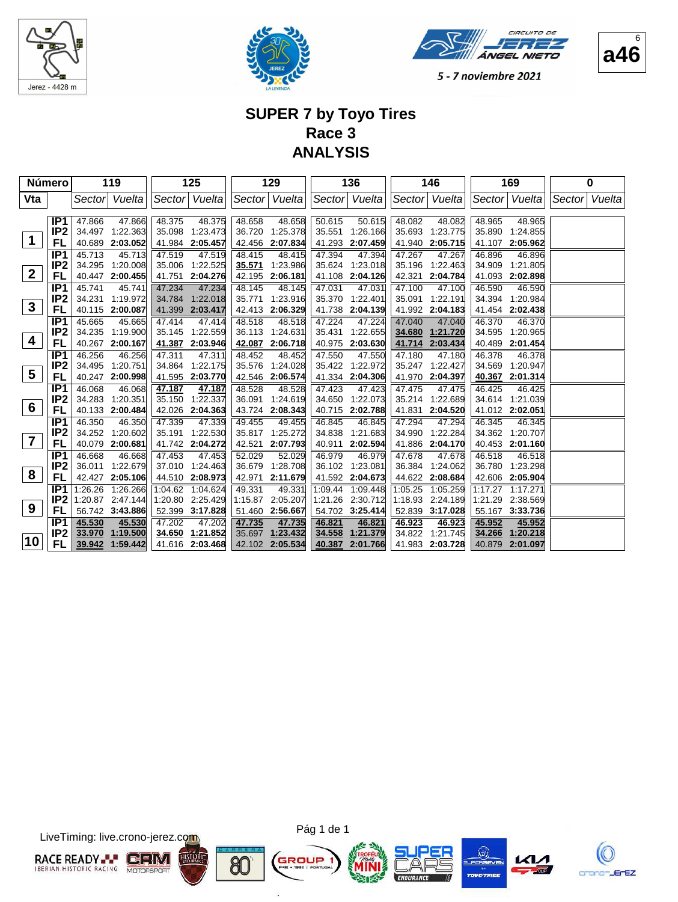





#### **SUPER 7 by Toyo Tires Race 3 ANALYSIS**

|                 | Número          |        | 119              |        | 125              |         | 129             |         | 136             |         | 146             |         | 169              |        | 0      |
|-----------------|-----------------|--------|------------------|--------|------------------|---------|-----------------|---------|-----------------|---------|-----------------|---------|------------------|--------|--------|
| Vta             |                 | Sector | Vuelta           |        | Sector Vuelta    |         | Sector Vuelta   |         | Sector Vuelta   |         | Sector Vuelta   |         | Sector Vuelta    | Sector | Vuelta |
|                 |                 |        |                  |        |                  |         |                 |         |                 |         |                 |         |                  |        |        |
|                 | IP <sub>1</sub> | 47.866 | 47.866           | 48.375 | 48.375           | 48.658  | 48.658          | 50.615  | 50.615          | 48.082  | 48.082          | 48.965  | 48.965           |        |        |
|                 | IP <sub>2</sub> |        | 34.497 1:22.363  | 35.098 | 1:23.473         | 36.720  | 1:25.378        | 35.551  | 1:26.166        | 35.693  | 1:23.775        | 35.890  | 1:24.855         |        |        |
| $\mathbf{1}$    | FL              |        | 40.689 2:03.052  |        | 41.984 2:05.457  |         | 42.456 2:07.834 | 41.293  | 2:07.459        | 41.940  | 2:05.715        | 41.107  | 2:05.962         |        |        |
|                 | IP <sub>1</sub> | 45.713 | 45.713           | 47.519 | 47.519           | 48.415  | 48.415          | 47.394  | 47.394          | 47.267  | 47.267          | 46.896  | 46.896           |        |        |
|                 | IP <sub>2</sub> | 34.295 | 1:20.008         |        | 35.006 1:22.525  | 35.571  | 1:23.986        | 35.624  | 1:23.018        | 35.196  | 1:22.463        | 34.909  | 1:21.805         |        |        |
| $\overline{2}$  | FL              |        | 40.447 2:00.455  |        | 41.751 2:04.276  | 42.195  | 2:06.181        | 41.108  | 2:04.126        | 42.321  | 2:04.784        | 41.093  | 2:02.898         |        |        |
|                 | IP <sub>1</sub> | 45.741 | 45.741           | 47.234 | 47.234           | 48.145  | 48.145          | 47.031  | 47.031          | 47.100  | 47.100          | 46.590  | 46.590           |        |        |
|                 | IP <sub>2</sub> | 34.231 | 1:19.972         | 34.784 | 1:22.018         | 35.771  | 1:23.916        | 35.370  | 1:22.401        | 35.091  | 1:22.191        | 34.394  | 1:20.984         |        |        |
| $\mathbf{3}$    | FL              | 40.115 | 2:00.087         | 41.399 | 2:03.417         | 42.413  | 2:06.329        | 41.738  | 2:04.139        | 41.992  | 2:04.183        | 41.454  | 2:02.438         |        |        |
|                 | IP <sub>1</sub> | 45.665 | 45.665           | 47.414 | 47.414           | 48.518  | 48.518          | 47.224  | 47.224          | 47.040  | 47.040          | 46.370  | 46.370           |        |        |
|                 | IP <sub>2</sub> |        | 34.235 1:19.900  | 35.145 | 1:22.559         | 36.113  | 1:24.631        | 35.431  | 1:22.655        | 34.680  | 1:21.720        | 34.595  | 1:20.965         |        |        |
| 4               | FL              |        | 40.267 2:00.167  |        | 41.387 2:03.946  | 42.087  | 2:06.718        | 40.975  | 2:03.630        | 41.714  | 2:03.434        | 40.489  | 2:01.454         |        |        |
|                 | IP <sub>1</sub> | 46.256 | 46.256           | 47.311 | 47.311           | 48.452  | 48.452          | 47.550  | 47.550          | 47.180  | 47.180          | 46.378  | 46.378           |        |        |
|                 | IP <sub>2</sub> | 34.495 | 1:20.751         | 34.864 | 1:22.175         | 35.576  | 1:24.028        | 35.422  | 1:22.972        | 35.247  | 1:22.427        | 34.569  | 1:20.947         |        |        |
| 5               | FL              |        | 40.247 2:00.998  |        | 41.595 2:03.770  | 42.546  | 2:06.574        | 41.334  | 2:04.306        | 41.970  | 2:04.397        | 40.367  | 2:01.314         |        |        |
|                 | IP1             | 46.068 | 46.068           | 47.187 | 47.187           | 48.528  | 48.528          | 47.423  | 47.423          | 47.475  | 47.475          | 46.425  | 46.425           |        |        |
|                 | IP <sub>2</sub> | 34.283 | 1:20.351         | 35.150 | 1:22.337         | 36.091  | 1:24.619        | 34.650  | 1:22.073        | 35.214  | 1:22.689        | 34.614  | 1:21.039         |        |        |
| $6\phantom{1}6$ | FL              | 40.133 | 2:00.484         |        | 42.026 2:04.363  | 43.724  | 2:08.343        | 40.715  | 2:02.788        | 41.831  | 2:04.520        | 41.012  | 2:02.051         |        |        |
|                 | IP <sub>1</sub> | 46.350 | 46.350           | 47.339 | 47.339           | 49.455  | 49.455          | 46.845  | 46.845          | 47.294  | 47.294          | 46.345  | 46.345           |        |        |
|                 | IP <sub>2</sub> | 34.252 | 1:20.602         | 35.191 | 1:22.530         | 35.817  | 1:25.272        | 34.838  | 1:21.683        | 34.990  | 1:22.284        | 34.362  | 1:20.707         |        |        |
| $\overline{7}$  | FL              |        | 40.079 2:00.681  |        | 41.742 2:04.272  | 42.521  | 2:07.793        | 40.911  | 2:02.594        | 41.886  | 2:04.170        |         | 40.453 2:01.160  |        |        |
|                 | IP <sub>1</sub> | 46.668 | 46.668           | 47.453 | 47.453           | 52.029  | 52.029          | 46.979  | 46.979          | 47.678  | 47.678          | 46.518  | 46.518           |        |        |
|                 | IP <sub>2</sub> | 36.011 | 1:22.679         |        | 37.010 1:24.463  | 36.679  | 1:28.708        | 36.102  | 1:23.081        | 36.384  | 1:24.062        | 36.780  | 1:23.298         |        |        |
| 8               | FL              |        | 42.427 2:05.106  |        | 44.510 2:08.973  | 42.971  | 2:11.679        |         | 41.592 2:04.673 |         | 44.622 2:08.684 |         | 42.606 2:05.904  |        |        |
|                 | IP <sub>1</sub> |        | 1:26.26 1:26.266 |        | 1:04.62 1:04.624 | 49.331  | 49.331          | 1:09.44 | 1:09.448        | 1:05.25 | 1:05.259        | 1:17.27 | 1:17.271         |        |        |
|                 | IP <sub>2</sub> |        | 1:20.87 2:47.144 |        | 1:20.80 2:25.429 | 1:15.87 | 2:05.207        | 1:21.26 | 2:30.712        | 1:18.93 | 2:24.189        |         | 1:21.29 2:38.569 |        |        |
| 9               | FL              |        | 56.742 3:43.886  |        | 52.399 3:17.828  | 51.460  | 2:56.667        |         | 54.702 3:25.414 | 52.839  | 3:17.028        |         | 55.167 3:33.736  |        |        |
|                 | IP <sub>1</sub> | 45.530 | 45.530           | 47.202 | 47.202           | 47.735  | 47.735          | 46.821  | 46.821          | 46.923  | 46.923          | 45.952  | 45.952           |        |        |
|                 | IP <sub>2</sub> | 33.970 | 1:19.500         |        | 34.650 1:21.852  | 35.697  | 1:23.432        | 34.558  | 1:21.379        | 34.822  | 1:21.745        | 34.266  | 1:20.218         |        |        |
| 10              | FL              | 39.942 | 1:59.442         |        | 41.616 2:03.468  |         | 42.102 2:05.534 | 40.387  | 2:01.766        |         | 41.983 2:03.728 | 40.879  | 2:01.097         |        |        |

LiveTiming: live.crono-jerez.com



Pág 1 de 1

GI

ä

80









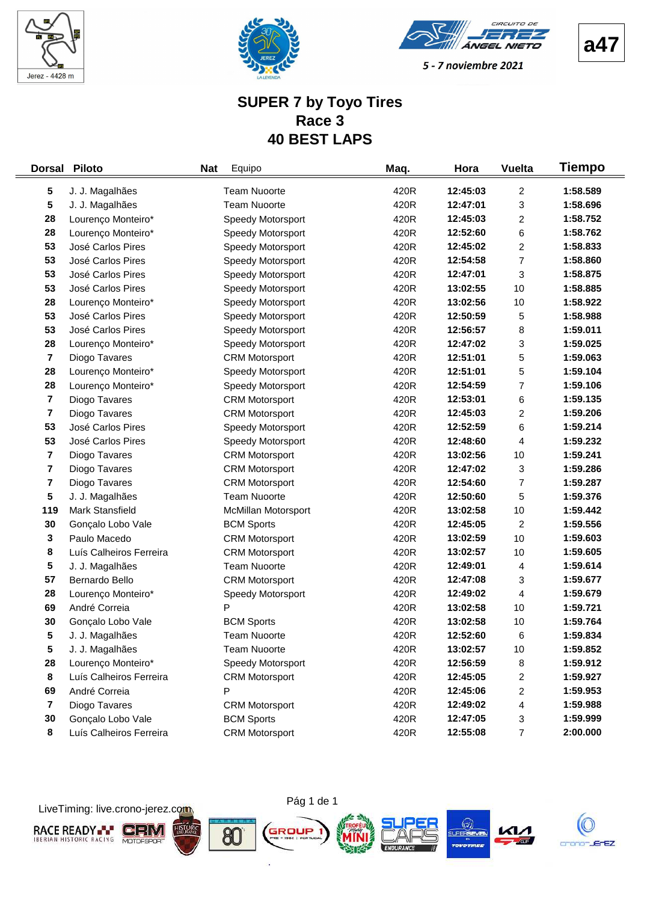





#### **SUPER 7 by Toyo Tires Race 3 40 BEST LAPS**

| <b>Dorsal</b>                 | <b>Piloto</b>           | <b>Nat</b><br>Equipo  | Maq. | Hora                 | <b>Vuelta</b>           | Tiempo               |
|-------------------------------|-------------------------|-----------------------|------|----------------------|-------------------------|----------------------|
| 5                             | J. J. Magalhães         | <b>Team Nuoorte</b>   | 420R | 12:45:03             | 2                       | 1:58.589             |
| 5                             | J. J. Magalhães         | <b>Team Nuoorte</b>   | 420R | 12:47:01             | 3                       | 1:58.696             |
| 28                            | Lourenço Monteiro*      | Speedy Motorsport     | 420R | 12:45:03             | $\overline{\mathbf{c}}$ | 1:58.752             |
| 28                            | Lourenço Monteiro*      | Speedy Motorsport     | 420R | 12:52:60             | 6                       | 1:58.762             |
| 53                            | José Carlos Pires       | Speedy Motorsport     | 420R | 12:45:02             | $\overline{\mathbf{c}}$ | 1:58.833             |
| 53                            | José Carlos Pires       | Speedy Motorsport     | 420R | 12:54:58             | $\overline{7}$          | 1:58.860             |
| 53                            | José Carlos Pires       | Speedy Motorsport     | 420R | 12:47:01             | 3                       | 1:58.875             |
| 53                            | José Carlos Pires       | Speedy Motorsport     | 420R | 13:02:55             | 10                      | 1:58.885             |
| 28                            | Lourenço Monteiro*      | Speedy Motorsport     | 420R | 13:02:56             | 10                      | 1:58.922             |
| 53                            | José Carlos Pires       | Speedy Motorsport     | 420R | 12:50:59             | 5                       | 1:58.988             |
| 53                            | José Carlos Pires       | Speedy Motorsport     | 420R | 12:56:57             | 8                       | 1:59.011             |
| 28                            | Lourenço Monteiro*      | Speedy Motorsport     | 420R | 12:47:02             | 3                       | 1:59.025             |
| $\overline{7}$                | Diogo Tavares           | <b>CRM Motorsport</b> | 420R | 12:51:01             | 5                       | 1:59.063             |
| 28                            | Lourenço Monteiro*      | Speedy Motorsport     | 420R | 12:51:01             | 5                       | 1:59.104             |
| 28                            | Lourenço Monteiro*      | Speedy Motorsport     | 420R | 12:54:59             | 7                       | 1:59.106             |
| $\overline{\mathbf{7}}$       | Diogo Tavares           | <b>CRM Motorsport</b> | 420R | 12:53:01             | 6                       | 1:59.135             |
| 7                             | Diogo Tavares           | <b>CRM Motorsport</b> | 420R | 12:45:03             | 2                       | 1:59.206             |
| 53                            | José Carlos Pires       | Speedy Motorsport     | 420R | 12:52:59             | 6                       | 1:59.214             |
| 53                            | José Carlos Pires       | Speedy Motorsport     | 420R | 12:48:60             | 4                       | 1:59.232             |
| $\overline{\mathbf{7}}$       | Diogo Tavares           | <b>CRM Motorsport</b> | 420R | 13:02:56             | 10                      | 1:59.241             |
| 7                             | Diogo Tavares           | <b>CRM Motorsport</b> | 420R | 12:47:02             | 3                       | 1:59.286             |
| $\overline{\mathbf{r}}$       | Diogo Tavares           | <b>CRM Motorsport</b> | 420R | 12:54:60             | $\overline{7}$          | 1:59.287             |
| 5                             | J. J. Magalhães         | <b>Team Nuoorte</b>   | 420R | 12:50:60             | 5                       | 1:59.376             |
| 119                           | Mark Stansfield         | McMillan Motorsport   | 420R | 13:02:58             | 10                      | 1:59.442             |
| 30                            | Gonçalo Lobo Vale       | <b>BCM Sports</b>     | 420R | 12:45:05             | $\overline{c}$          | 1:59.556             |
| 3                             | Paulo Macedo            | <b>CRM Motorsport</b> | 420R | 13:02:59             | 10                      | 1:59.603             |
| 8                             | Luís Calheiros Ferreira | <b>CRM Motorsport</b> | 420R | 13:02:57             | 10                      | 1:59.605             |
| 5                             | J. J. Magalhães         | <b>Team Nuoorte</b>   | 420R | 12:49:01             | 4                       | 1:59.614             |
| 57                            | Bernardo Bello          | <b>CRM Motorsport</b> | 420R | 12:47:08             | 3                       | 1:59.677             |
| 28                            | Lourenço Monteiro*      | Speedy Motorsport     | 420R | 12:49:02             | 4                       | 1:59.679             |
| 69                            | André Correia           | P                     | 420R | 13:02:58             | 10                      | 1:59.721             |
| 30                            | Gonçalo Lobo Vale       | <b>BCM Sports</b>     | 420R | 13:02:58             | 10                      | 1:59.764             |
| 5                             | J. J. Magalhães         | Team Nuoorte          | 420R | 12:52:60             | 6                       | 1:59.834             |
| 5                             | J. J. Magalhães         | <b>Team Nuoorte</b>   | 420R | 13:02:57             | 10                      | 1:59.852             |
| 28                            | Lourenço Monteiro*      | Speedy Motorsport     | 420R | 12:56:59             | 8                       | 1:59.912             |
| 8                             | Luís Calheiros Ferreira | <b>CRM Motorsport</b> | 420R | 12:45:05             | 2                       | 1:59.927             |
| 69<br>$\overline{\mathbf{r}}$ | André Correia           | P                     | 420R | 12:45:06<br>12:49:02 | 2                       | 1:59.953<br>1:59.988 |
|                               | Diogo Tavares           | <b>CRM Motorsport</b> | 420R |                      | 4                       |                      |
| 30                            | Gonçalo Lobo Vale       | <b>BCM Sports</b>     | 420R | 12:47:05             | 3                       | 1:59.999             |
| 8                             | Luís Calheiros Ferreira | <b>CRM Motorsport</b> | 420R | 12:55:08             | 7                       | 2:00.000             |

LiveTiming: live.crono-jerez.com

**RACE READY- CRIM** 

**HISTOR** 



i.







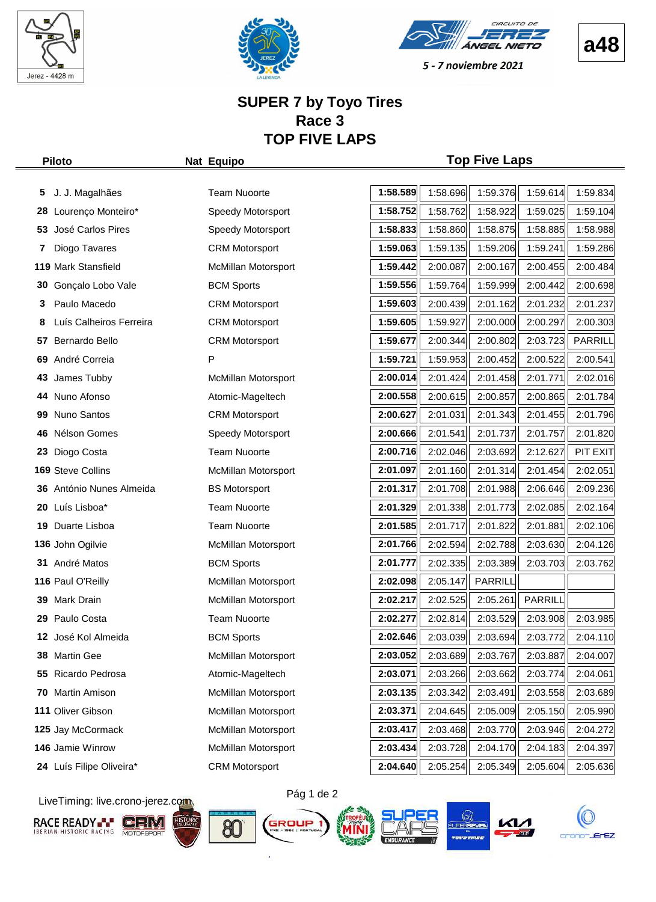





**a48**

#### **SUPER 7 by Toyo Tires Race 3 TOP FIVE LAPS**

#### **Piloto Nat Equipo Top Five Laps**

| 5.  | J. J. Magalhães          | <b>Team Nuoorte</b>        | 1:58.589 | 1:58.696 | 1:59.376 | 1:59.614 | 1:59.834 |
|-----|--------------------------|----------------------------|----------|----------|----------|----------|----------|
| 28  | Lourenço Monteiro*       | Speedy Motorsport          | 1:58.752 | 1:58.762 | 1:58.922 | 1:59.025 | 1:59.104 |
|     | 53 José Carlos Pires     | Speedy Motorsport          | 1:58.833 | 1:58.860 | 1:58.875 | 1:58.885 | 1:58.988 |
| 7   | Diogo Tavares            | <b>CRM Motorsport</b>      | 1:59.063 | 1:59.135 | 1:59.206 | 1:59.241 | 1:59.286 |
|     | 119 Mark Stansfield      | McMillan Motorsport        | 1:59.442 | 2:00.087 | 2:00.167 | 2:00.455 | 2:00.484 |
| 30  | Gonçalo Lobo Vale        | <b>BCM Sports</b>          | 1:59.556 | 1:59.764 | 1:59.999 | 2:00.442 | 2:00.698 |
| 3   | Paulo Macedo             | <b>CRM Motorsport</b>      | 1:59.603 | 2:00.439 | 2:01.162 | 2:01.232 | 2:01.237 |
| 8   | Luís Calheiros Ferreira  | <b>CRM Motorsport</b>      | 1:59.605 | 1:59.927 | 2:00.000 | 2:00.297 | 2:00.303 |
| 57  | Bernardo Bello           | <b>CRM Motorsport</b>      | 1:59.677 | 2:00.344 | 2:00.802 | 2:03.723 | PARRILL  |
|     | 69 André Correia         | P                          | 1:59.721 | 1:59.953 | 2:00.452 | 2:00.522 | 2:00.541 |
| 43  | James Tubby              | <b>McMillan Motorsport</b> | 2:00.014 | 2:01.424 | 2:01.458 | 2:01.771 | 2:02.016 |
|     | 44 Nuno Afonso           | Atomic-Mageltech           | 2:00.558 | 2:00.615 | 2:00.857 | 2:00.865 | 2:01.784 |
| 99  | Nuno Santos              | <b>CRM Motorsport</b>      | 2:00.627 | 2:01.031 | 2:01.343 | 2:01.455 | 2:01.796 |
|     | 46 Nélson Gomes          | Speedy Motorsport          | 2:00.666 | 2:01.541 | 2:01.737 | 2:01.757 | 2:01.820 |
| 23  | Diogo Costa              | <b>Team Nuoorte</b>        | 2:00.716 | 2:02.046 | 2:03.692 | 2:12.627 | PIT EXIT |
|     | 169 Steve Collins        | McMillan Motorsport        | 2:01.097 | 2:01.160 | 2:01.314 | 2:01.454 | 2:02.051 |
|     | 36 António Nunes Almeida | <b>BS Motorsport</b>       | 2:01.317 | 2:01.708 | 2:01.988 | 2:06.646 | 2:09.236 |
|     | 20 Luís Lisboa*          | <b>Team Nuoorte</b>        | 2:01.329 | 2:01.338 | 2:01.773 | 2:02.085 | 2:02.164 |
|     | 19 Duarte Lisboa         | <b>Team Nuoorte</b>        | 2:01.585 | 2:01.717 | 2:01.822 | 2:01.881 | 2:02.106 |
|     | 136 John Ogilvie         | McMillan Motorsport        | 2:01.766 | 2:02.594 | 2:02.788 | 2:03.630 | 2:04.126 |
|     | 31 André Matos           | <b>BCM Sports</b>          | 2:01.777 | 2:02.335 | 2:03.389 | 2:03.703 | 2:03.762 |
|     | 116 Paul O'Reilly        | McMillan Motorsport        | 2:02.098 | 2:05.147 | PARRILL  |          |          |
|     | 39 Mark Drain            | McMillan Motorsport        | 2:02.217 | 2:02.525 | 2:05.261 | PARRILL  |          |
| 29. | Paulo Costa              | <b>Team Nuoorte</b>        | 2:02.277 | 2:02.814 | 2:03.529 | 2:03.908 | 2:03.985 |
| 12  | José Kol Almeida         | <b>BCM Sports</b>          | 2:02.646 | 2:03.039 | 2:03.694 | 2:03.772 | 2:04.110 |
|     | 38 Martin Gee            | McMillan Motorsport        | 2:03.052 | 2:03.689 | 2:03.767 | 2:03.887 | 2:04.007 |
|     | 55 Ricardo Pedrosa       | Atomic-Mageltech           | 2:03.071 | 2:03.266 | 2:03.662 | 2:03.774 | 2:04.061 |
| 70  | Martin Amison            | McMillan Motorsport        | 2:03.135 | 2:03.342 | 2:03.491 | 2:03.558 | 2:03.689 |
|     | 111 Oliver Gibson        | <b>McMillan Motorsport</b> | 2:03.371 | 2:04.645 | 2:05.009 | 2:05.150 | 2:05.990 |
|     | 125 Jay McCormack        | McMillan Motorsport        | 2:03.417 | 2:03.468 | 2:03.770 | 2:03.946 | 2:04.272 |
|     | 146 Jamie Winrow         | <b>McMillan Motorsport</b> | 2:03.434 | 2:03.728 | 2:04.170 | 2:04.183 | 2:04.397 |
|     | 24 Luís Filipe Oliveira* | <b>CRM Motorsport</b>      | 2:04.640 | 2:05.254 | 2:05.349 | 2:05.604 | 2:05.636 |

LiveTiming: live.crono-jerez.com













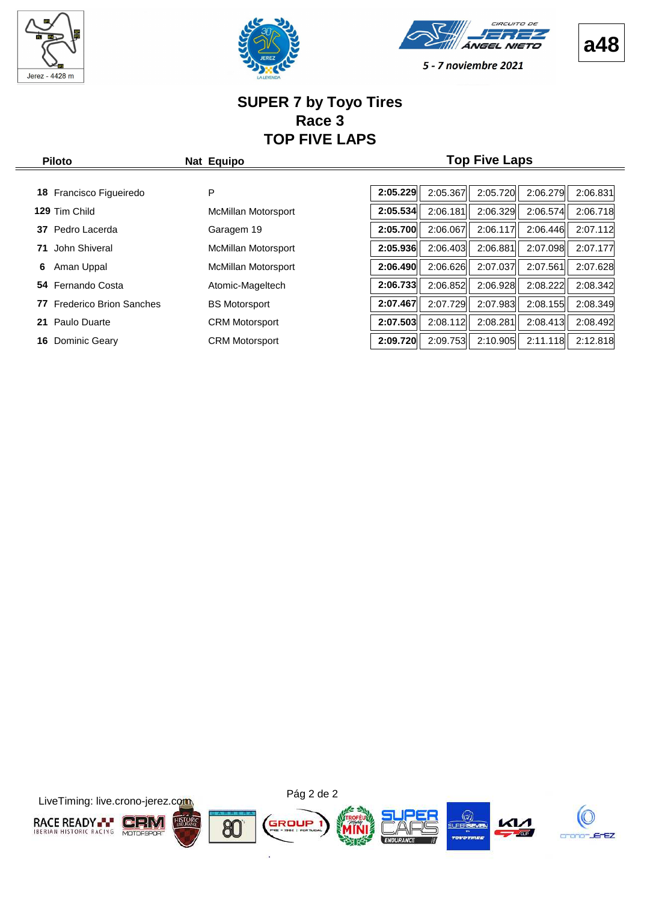

 $\frac{1}{2}$ 







5 - 7 noviembre 2021

#### **SUPER 7 by Toyo Tires Race 3 TOP FIVE LAPS**

| 2:05.229<br>2:05.720<br>2:06.279<br>P<br>2:05.367<br>Francisco Figueiredo<br>18.<br>2:05.534<br>2:06.574<br>129 Tim Child<br>2:06.181<br>2:06.329<br>McMillan Motorsport<br>2:05.700<br>2:06.067<br>2:06.117<br>2:06.446<br>Pedro Lacerda<br>Garagem 19<br>37<br>2:05.936<br>2:07.098<br>2:06.881<br>2:06.403<br>John Shiveral<br>71<br>McMillan Motorsport | <b>Piloto</b> | Nat Equipo |  | <b>Top Five Laps</b> |          |
|-------------------------------------------------------------------------------------------------------------------------------------------------------------------------------------------------------------------------------------------------------------------------------------------------------------------------------------------------------------|---------------|------------|--|----------------------|----------|
|                                                                                                                                                                                                                                                                                                                                                             |               |            |  |                      |          |
|                                                                                                                                                                                                                                                                                                                                                             |               |            |  |                      | 2:06.831 |
|                                                                                                                                                                                                                                                                                                                                                             |               |            |  |                      | 2:06.718 |
|                                                                                                                                                                                                                                                                                                                                                             |               |            |  |                      | 2:07.112 |
|                                                                                                                                                                                                                                                                                                                                                             |               |            |  |                      | 2:07.177 |
| 2:07.561<br>2:06.490<br>2:07.037<br>2:06.626<br>Aman Uppal<br>McMillan Motorsport<br>6                                                                                                                                                                                                                                                                      |               |            |  |                      | 2:07.628 |
| 2:06.928<br>2:08.222<br>2:06.733<br>2:06.852<br>Fernando Costa<br>Atomic-Mageltech<br>54                                                                                                                                                                                                                                                                    |               |            |  |                      | 2:08.342 |
| 2:07.729<br>2:07.983<br>2:08.155<br>2:07.467<br><b>Frederico Brion Sanches</b><br><b>BS Motorsport</b><br>77                                                                                                                                                                                                                                                |               |            |  |                      | 2:08.349 |
| 2:07.503<br>2:08.281<br>2:08.413<br>2:08.112<br>Paulo Duarte<br><b>CRM Motorsport</b><br>21                                                                                                                                                                                                                                                                 |               |            |  |                      | 2:08.492 |
| 2:09.720<br>2:10.905<br>2:09.753<br>2:11.118<br>Dominic Geary<br><b>CRM Motorsport</b><br>16                                                                                                                                                                                                                                                                |               |            |  |                      | 2:12.818 |

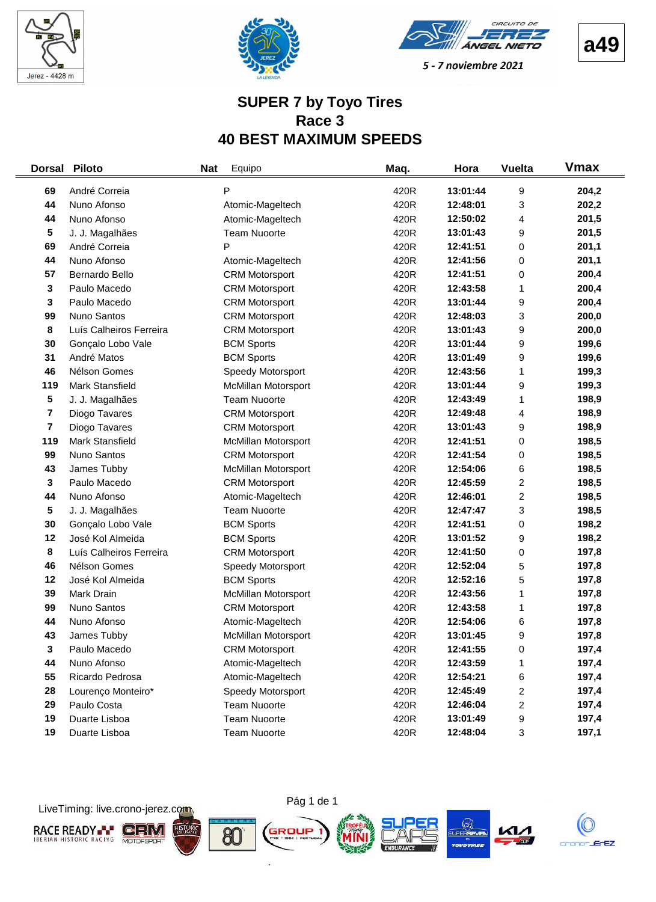





#### **SUPER 7 by Toyo Tires Race 3 40 BEST MAXIMUM SPEEDS**

| <b>Dorsal</b> | <b>Piloto</b>           | <b>Nat</b> | Equipo                     | Maq. | Hora     | <b>Vuelta</b>           | <b>V</b> max |
|---------------|-------------------------|------------|----------------------------|------|----------|-------------------------|--------------|
| 69            | André Correia           |            | P                          | 420R | 13:01:44 | 9                       | 204,2        |
| 44            | Nuno Afonso             |            | Atomic-Mageltech           | 420R | 12:48:01 | 3                       | 202,2        |
| 44            | Nuno Afonso             |            | Atomic-Mageltech           | 420R | 12:50:02 | 4                       | 201,5        |
| 5             | J. J. Magalhães         |            | <b>Team Nuoorte</b>        | 420R | 13:01:43 | 9                       | 201,5        |
| 69            | André Correia           |            | P                          | 420R | 12:41:51 | 0                       | 201,1        |
| 44            | Nuno Afonso             |            | Atomic-Mageltech           | 420R | 12:41:56 | 0                       | 201,1        |
| 57            | Bernardo Bello          |            | <b>CRM Motorsport</b>      | 420R | 12:41:51 | 0                       | 200,4        |
| 3             | Paulo Macedo            |            | <b>CRM Motorsport</b>      | 420R | 12:43:58 | 1                       | 200,4        |
| 3             | Paulo Macedo            |            | <b>CRM Motorsport</b>      | 420R | 13:01:44 | 9                       | 200,4        |
| 99            | Nuno Santos             |            | <b>CRM Motorsport</b>      | 420R | 12:48:03 | 3                       | 200,0        |
| 8             | Luís Calheiros Ferreira |            | <b>CRM Motorsport</b>      | 420R | 13:01:43 | 9                       | 200,0        |
| 30            | Gonçalo Lobo Vale       |            | <b>BCM Sports</b>          | 420R | 13:01:44 | 9                       | 199,6        |
| 31            | André Matos             |            | <b>BCM Sports</b>          | 420R | 13:01:49 | 9                       | 199,6        |
| 46            | Nélson Gomes            |            | Speedy Motorsport          | 420R | 12:43:56 | 1                       | 199,3        |
| 119           | Mark Stansfield         |            | McMillan Motorsport        | 420R | 13:01:44 | 9                       | 199,3        |
| 5             | J. J. Magalhães         |            | <b>Team Nuoorte</b>        | 420R | 12:43:49 | 1                       | 198,9        |
| 7             | Diogo Tavares           |            | <b>CRM Motorsport</b>      | 420R | 12:49:48 | 4                       | 198,9        |
| 7             | Diogo Tavares           |            | <b>CRM Motorsport</b>      | 420R | 13:01:43 | 9                       | 198,9        |
| 119           | Mark Stansfield         |            | <b>McMillan Motorsport</b> | 420R | 12:41:51 | 0                       | 198,5        |
| 99            | Nuno Santos             |            | <b>CRM Motorsport</b>      | 420R | 12:41:54 | 0                       | 198,5        |
| 43            | James Tubby             |            | McMillan Motorsport        | 420R | 12:54:06 | 6                       | 198,5        |
| 3             | Paulo Macedo            |            | <b>CRM Motorsport</b>      | 420R | 12:45:59 | $\overline{\mathbf{c}}$ | 198,5        |
| 44            | Nuno Afonso             |            | Atomic-Mageltech           | 420R | 12:46:01 | $\overline{\mathbf{c}}$ | 198,5        |
| 5             | J. J. Magalhães         |            | <b>Team Nuoorte</b>        | 420R | 12:47:47 | 3                       | 198,5        |
| 30            | Gonçalo Lobo Vale       |            | <b>BCM Sports</b>          | 420R | 12:41:51 | 0                       | 198,2        |
| 12            | José Kol Almeida        |            | <b>BCM Sports</b>          | 420R | 13:01:52 | 9                       | 198,2        |
| 8             | Luís Calheiros Ferreira |            | <b>CRM Motorsport</b>      | 420R | 12:41:50 | 0                       | 197,8        |
| 46            | Nélson Gomes            |            | Speedy Motorsport          | 420R | 12:52:04 | 5                       | 197,8        |
| 12            | José Kol Almeida        |            | <b>BCM Sports</b>          | 420R | 12:52:16 | 5                       | 197,8        |
| 39            | Mark Drain              |            | McMillan Motorsport        | 420R | 12:43:56 | 1                       | 197,8        |
| 99            | Nuno Santos             |            | <b>CRM Motorsport</b>      | 420R | 12:43:58 | 1                       | 197,8        |
| 44            | Nuno Afonso             |            | Atomic-Mageltech           | 420R | 12:54:06 | 6                       | 197,8        |
| 43            | James Tubby             |            | <b>McMillan Motorsport</b> | 420R | 13:01:45 | 9                       | 197,8        |
| 3             | Paulo Macedo            |            | <b>CRM Motorsport</b>      | 420R | 12:41:55 | 0                       | 197,4        |
| 44            | Nuno Afonso             |            | Atomic-Mageltech           | 420R | 12:43:59 | 1                       | 197,4        |
| 55            | Ricardo Pedrosa         |            | Atomic-Mageltech           | 420R | 12:54:21 | 6                       | 197,4        |
| 28            | Lourenço Monteiro*      |            | Speedy Motorsport          | 420R | 12:45:49 | 2                       | 197,4        |
| 29            | Paulo Costa             |            | <b>Team Nuoorte</b>        | 420R | 12:46:04 | 2                       | 197,4        |
| 19            | Duarte Lisboa           |            | <b>Team Nuoorte</b>        | 420R | 13:01:49 | 9                       | 197,4        |
| 19            | Duarte Lisboa           |            | Team Nuoorte               | 420R | 12:48:04 | 3                       | 197,1        |

LiveTiming: live.crono-jerez.com



ò.

**a49**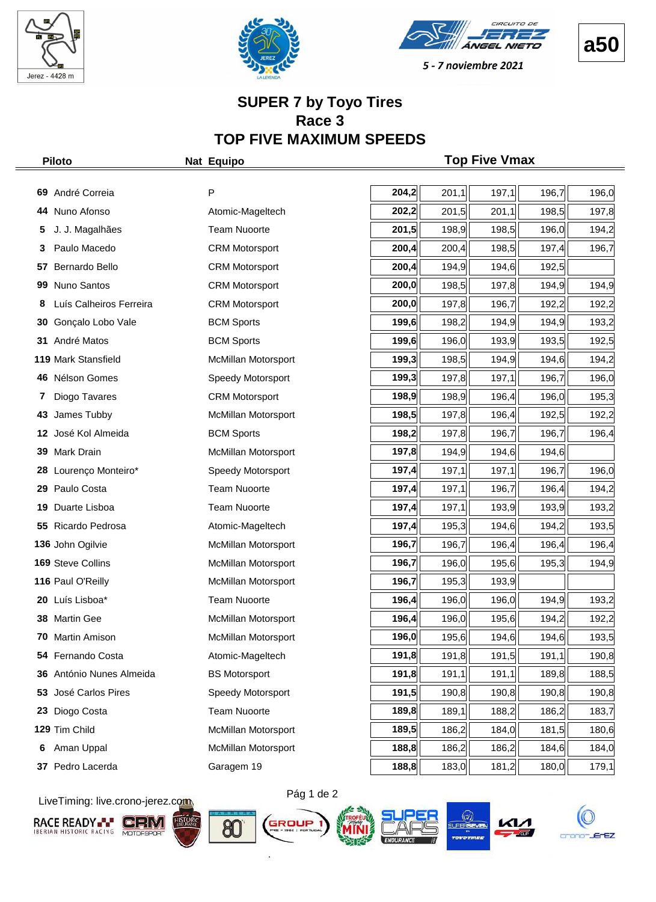







#### **SUPER 7 by Toyo Tires Race 3 TOP FIVE MAXIMUM SPEEDS**

|    | <b>Piloto</b>           | Nat Equipo            |       |       | <b>Top Five Vmax</b> |       |       |
|----|-------------------------|-----------------------|-------|-------|----------------------|-------|-------|
|    |                         |                       |       |       |                      |       |       |
|    | 69 André Correia        | P                     | 204,2 | 201,1 | 197,1                | 196,7 | 196,0 |
|    | 44 Nuno Afonso          | Atomic-Mageltech      | 202,2 | 201,5 | 201,1                | 198,5 | 197,8 |
| 5  | J. J. Magalhães         | <b>Team Nuoorte</b>   | 201,5 | 198,9 | 198,5                | 196,0 | 194,2 |
| 3  | Paulo Macedo            | <b>CRM Motorsport</b> | 200,4 | 200,4 | 198,5                | 197,4 | 196,7 |
| 57 | Bernardo Bello          | <b>CRM Motorsport</b> | 200,4 | 194,9 | 194,6                | 192,5 |       |
| 99 | Nuno Santos             | <b>CRM Motorsport</b> | 200,0 | 198,5 | 197,8                | 194,9 | 194,9 |
| 8  | Luís Calheiros Ferreira | <b>CRM Motorsport</b> | 200,0 | 197,8 | 196,7                | 192,2 | 192,2 |
| 30 | Gonçalo Lobo Vale       | <b>BCM Sports</b>     | 199,6 | 198,2 | 194,9                | 194,9 | 193,2 |
| 31 | André Matos             | <b>BCM Sports</b>     | 199,6 | 196,0 | 193,9                | 193,5 | 192,5 |
|    | 119 Mark Stansfield     | McMillan Motorsport   | 199,3 | 198,5 | 194,9                | 194,6 | 194,2 |
|    | 46 Nélson Gomes         | Speedy Motorsport     | 199,3 | 197,8 | 197,1                | 196,7 | 196,0 |
| 7  | Diogo Tavares           | <b>CRM Motorsport</b> | 198,9 | 198,9 | 196,4                | 196,0 | 195,3 |
| 43 | James Tubby             | McMillan Motorsport   | 198,5 | 197,8 | 196,4                | 192,5 | 192,2 |
| 12 | José Kol Almeida        | <b>BCM Sports</b>     | 198,2 | 197,8 | 196,7                | 196,7 | 196,4 |
| 39 | Mark Drain              | McMillan Motorsport   | 197,8 | 194,9 | 194,6                | 194,6 |       |
| 28 | Lourenço Monteiro*      | Speedy Motorsport     | 197,4 | 197,1 | 197,1                | 196,7 | 196,0 |
|    | 29 Paulo Costa          | <b>Team Nuoorte</b>   | 197,4 | 197,1 | 196,7                | 196,4 | 194,2 |
| 19 | Duarte Lisboa           | <b>Team Nuoorte</b>   | 197,4 | 197,1 | 193,9                | 193,9 | 193,2 |
|    | 55 Ricardo Pedrosa      | Atomic-Mageltech      | 197,4 | 195,3 | 194,6                | 194,2 | 193,5 |
|    | 136 John Ogilvie        | McMillan Motorsport   | 196,7 | 196,7 | 196,4                | 196,4 | 196,4 |
|    | 169 Steve Collins       | McMillan Motorsport   | 196,7 | 196,0 | 195,6                | 195,3 | 194,9 |
|    | 116 Paul O'Reilly       | McMillan Motorsport   | 196,7 | 195,3 | 193,9                |       |       |
| 20 | Luís Lisboa*            | <b>Team Nuoorte</b>   | 196,4 | 196,0 | 196,0                | 194,9 | 193,2 |
|    | 38 Martin Gee           | McMillan Motorsport   | 196,4 | 196,0 | 195,6                | 194,2 | 192,2 |
| 70 | Martin Amison           | McMillan Motorsport   | 196,0 | 195,6 | 194,6                | 194,6 | 193,5 |
|    | 54 Fernando Costa       | Atomic-Mageltech      | 191,8 | 191,8 | 191,5                | 191,1 | 190,8 |
| 36 | António Nunes Almeida   | <b>BS Motorsport</b>  | 191,8 | 191,1 | 191,1                | 189,8 | 188,5 |
| 53 | José Carlos Pires       | Speedy Motorsport     | 191,5 | 190,8 | 190,8                | 190,8 | 190,8 |
| 23 | Diogo Costa             | <b>Team Nuoorte</b>   | 189,8 | 189,1 | 188,2                | 186,2 | 183,7 |
|    | 129 Tim Child           | McMillan Motorsport   | 189,5 | 186,2 | 184,0                | 181,5 | 180,6 |
| 6  | Aman Uppal              | McMillan Motorsport   | 188,8 | 186,2 | 186,2                | 184,6 | 184,0 |
|    | 37 Pedro Lacerda        | Garagem 19            | 188,8 | 183,0 | 181,2                | 180,0 | 179,1 |

LiveTiming: live.crono-jerez.com













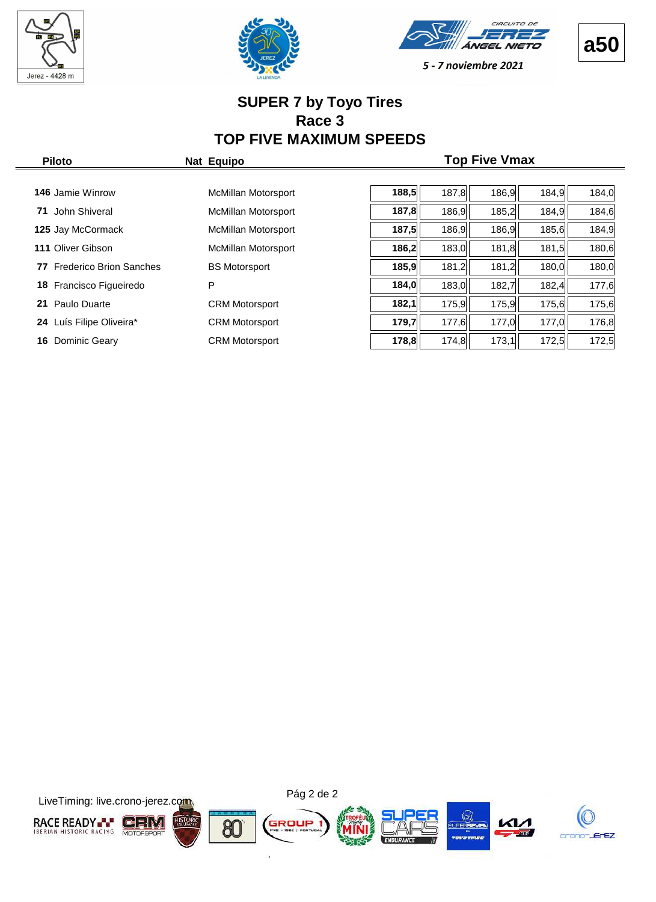







#### **SUPER 7 by Toyo Tires Race 3 TOP FIVE MAXIMUM SPEEDS**

| <b>Piloto</b>                        | Nat Equipo                 | <b>Top Five Vmax</b> |       |       |       |       |  |  |  |  |  |  |  |
|--------------------------------------|----------------------------|----------------------|-------|-------|-------|-------|--|--|--|--|--|--|--|
|                                      |                            |                      |       |       |       |       |  |  |  |  |  |  |  |
| <b>146</b> Jamie Winrow              | McMillan Motorsport        | 188,5                | 187,8 | 186,9 | 184,9 | 184,0 |  |  |  |  |  |  |  |
| John Shiveral<br>71                  | McMillan Motorsport        | 187,8                | 186,9 | 185,2 | 184,9 | 184,6 |  |  |  |  |  |  |  |
| 125 Jay McCormack                    | <b>McMillan Motorsport</b> | 187,5                | 186,9 | 186,9 | 185,6 | 184,9 |  |  |  |  |  |  |  |
| 111 Oliver Gibson                    | McMillan Motorsport        | 186,2                | 183,0 | 181,8 | 181,5 | 180,6 |  |  |  |  |  |  |  |
| <b>Frederico Brion Sanches</b><br>77 | <b>BS Motorsport</b>       | 185,9                | 181,2 | 181,2 | 180,0 | 180,0 |  |  |  |  |  |  |  |
| Francisco Figueiredo<br>18           | P                          | 184,0                | 183,0 | 182,7 | 182,4 | 177,6 |  |  |  |  |  |  |  |
| Paulo Duarte<br>21                   | <b>CRM Motorsport</b>      | 182,1                | 175,9 | 175,9 | 175,6 | 175,6 |  |  |  |  |  |  |  |
| Luís Filipe Oliveira*<br>24          | <b>CRM Motorsport</b>      | 179,7                | 177,6 | 177,0 | 177,0 | 176,8 |  |  |  |  |  |  |  |
| Dominic Geary<br>16                  | <b>CRM Motorsport</b>      | 178,8                | 174,8 | 173,1 | 172,5 | 172,5 |  |  |  |  |  |  |  |